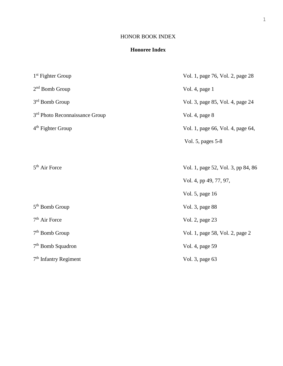## HONOR BOOK INDEX

## **Honoree Index**

| $1st$ Fighter Group                        | Vol. 1, page 76, Vol. 2, page 28   |
|--------------------------------------------|------------------------------------|
| 2 <sup>nd</sup> Bomb Group                 | Vol. 4, page 1                     |
| 3rd Bomb Group                             | Vol. 3, page 85, Vol. 4, page 24   |
| 3 <sup>rd</sup> Photo Reconnaissance Group | Vol. 4, page 8                     |
| 4 <sup>th</sup> Fighter Group              | Vol. 1, page 66, Vol. 4, page 64,  |
|                                            | Vol. 5, pages 5-8                  |
|                                            |                                    |
| 5 <sup>th</sup> Air Force                  | Vol. 1, page 52, Vol. 3, pp 84, 86 |
|                                            | Vol. 4, pp 49, 77, 97,             |
|                                            | Vol. 5, page 16                    |
| 5 <sup>th</sup> Bomb Group                 | Vol. 3, page 88                    |
| $7th$ Air Force                            | Vol. 2, page 23                    |
| 7 <sup>th</sup> Bomb Group                 | Vol. 1, page 58, Vol. 2, page 2    |
| $7th$ Bomb Squadron                        | Vol. 4, page 59                    |
| $7th$ Infantry Regiment                    | Vol. 3, page 63                    |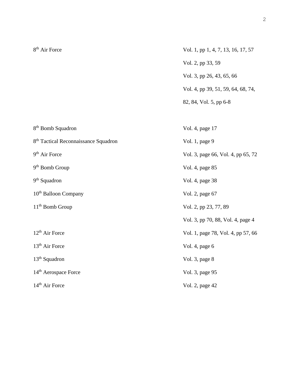| 8 <sup>th</sup> Air Force                        | Vol. 1, pp 1, 4, 7, 13, 16, 17, 57 |
|--------------------------------------------------|------------------------------------|
|                                                  | Vol. 2, pp 33, 59                  |
|                                                  | Vol. 3, pp 26, 43, 65, 66          |
|                                                  | Vol. 4, pp 39, 51, 59, 64, 68, 74, |
|                                                  | 82, 84, Vol. 5, pp 6-8             |
|                                                  |                                    |
| 8 <sup>th</sup> Bomb Squadron                    | Vol. 4, page 17                    |
| 8 <sup>th</sup> Tactical Reconnaissance Squadron | Vol. 1, page 9                     |
| 9 <sup>th</sup> Air Force                        | Vol. 3, page 66, Vol. 4, pp 65, 72 |
| $9th$ Bomb Group                                 | Vol. 4, page 85                    |
| 9 <sup>th</sup> Squadron                         | Vol. 4, page 38                    |
| 10 <sup>th</sup> Balloon Company                 | Vol. 2, page 67                    |
| 11 <sup>th</sup> Bomb Group                      | Vol. 2, pp 23, 77, 89              |
|                                                  | Vol. 3, pp 70, 88, Vol. 4, page 4  |
| 12 <sup>th</sup> Air Force                       | Vol. 1, page 78, Vol. 4, pp 57, 66 |
| 13 <sup>th</sup> Air Force                       | Vol. 4, page 6                     |
| 13 <sup>th</sup> Squadron                        | Vol. 3, page 8                     |
| 14 <sup>th</sup> Aerospace Force                 | Vol. 3, page 95                    |
| 14 <sup>th</sup> Air Force                       | Vol. 2, page 42                    |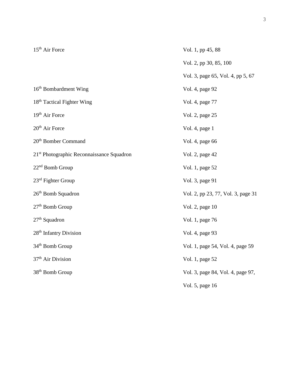| $15th$ Air Force                                      | Vol. 1, pp 45, 88                  |
|-------------------------------------------------------|------------------------------------|
|                                                       | Vol. 2, pp 30, 85, 100             |
|                                                       | Vol. 3, page 65, Vol. 4, pp 5, 67  |
| 16 <sup>th</sup> Bombardment Wing                     | Vol. 4, page 92                    |
| 18 <sup>th</sup> Tactical Fighter Wing                | Vol. 4, page 77                    |
| 19 <sup>th</sup> Air Force                            | Vol. 2, page 25                    |
| 20 <sup>th</sup> Air Force                            | Vol. 4, page 1                     |
| 20 <sup>th</sup> Bomber Command                       | Vol. 4, page 66                    |
| 21 <sup>st</sup> Photographic Reconnaissance Squadron | Vol. 2, page 42                    |
| $22nd$ Bomb Group                                     | Vol. 1, page 52                    |
| $23rd$ Fighter Group                                  | Vol. 3, page 91                    |
| 26 <sup>th</sup> Bomb Squadron                        | Vol. 2, pp 23, 77, Vol. 3, page 31 |
| $27th$ Bomb Group                                     | Vol. 2, page 10                    |
| $27th$ Squadron                                       | Vol. 1, page 76                    |
| 28 <sup>th</sup> Infantry Division                    | Vol. 4, page 93                    |
| 34 <sup>th</sup> Bomb Group                           | Vol. 1, page 54, Vol. 4, page 59   |
| 37 <sup>th</sup> Air Division                         | Vol. 1, page 52                    |
| 38 <sup>th</sup> Bomb Group                           | Vol. 3, page 84, Vol. 4, page 97,  |
|                                                       | Vol. 5, page 16                    |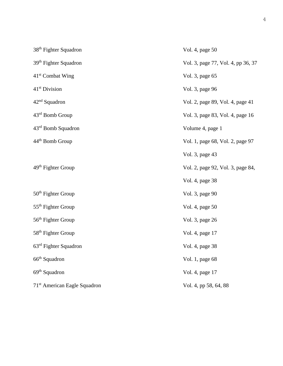| 38 <sup>th</sup> Fighter Squadron        | Vol. 4, page 50                    |
|------------------------------------------|------------------------------------|
| 39 <sup>th</sup> Fighter Squadron        | Vol. 3, page 77, Vol. 4, pp 36, 37 |
| $41st$ Combat Wing                       | Vol. 3, page 65                    |
| 41 <sup>st</sup> Division                | Vol. 3, page 96                    |
| $42nd$ Squadron                          | Vol. 2, page 89, Vol. 4, page 41   |
| 43 <sup>rd</sup> Bomb Group              | Vol. 3, page 83, Vol. 4, page 16   |
| $43rd$ Bomb Squadron                     | Volume 4, page 1                   |
| 44 <sup>th</sup> Bomb Group              | Vol. 1, page 68, Vol. 2, page 97   |
|                                          | Vol. 3, page 43                    |
| 49 <sup>th</sup> Fighter Group           | Vol. 2, page 92, Vol. 3, page 84,  |
|                                          | Vol. 4, page 38                    |
| 50 <sup>th</sup> Fighter Group           | Vol. 3, page 90                    |
| 55 <sup>th</sup> Fighter Group           | Vol. 4, page 50                    |
| 56 <sup>th</sup> Fighter Group           | Vol. 3, page 26                    |
| 58 <sup>th</sup> Fighter Group           | Vol. 4, page 17                    |
| $63rd$ Fighter Squadron                  | Vol. 4, page 38                    |
| 66 <sup>th</sup> Squadron                | Vol. 1, page 68                    |
| 69 <sup>th</sup> Squadron                | Vol. 4, page 17                    |
| 71 <sup>st</sup> American Eagle Squadron | Vol. 4, pp 58, 64, 88              |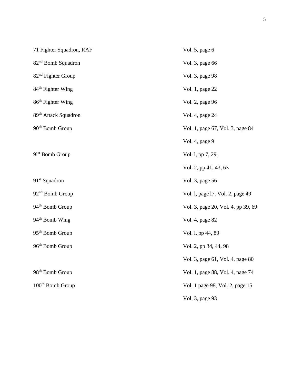| 71 Fighter Squadron, RAF         | Vol. 5, page 6                     |
|----------------------------------|------------------------------------|
| 82 <sup>nd</sup> Bomb Squadron   | Vol. 3, page 66                    |
| 82 <sup>nd</sup> Fighter Group   | Vol. 3, page 98                    |
| 84 <sup>th</sup> Fighter Wing    | Vol. 1, page 22                    |
| 86 <sup>th</sup> Fighter Wing    | Vol. 2, page 96                    |
| 89 <sup>th</sup> Attack Squadron | Vol. 4, page 24                    |
| $90th$ Bomb Group                | Vol. 1, page 67, Vol. 3, page 84   |
|                                  | Vol. 4, page 9                     |
| $91st$ Bomb Group                | Vol. 1, pp 7, 29,                  |
|                                  | Vol. 2, pp 41, 43, 63              |
| $91st$ Squadron                  | Vol. 3, page 56                    |
| 92 <sup>nd</sup> Bomb Group      | Vol. 1, page 17, Vol. 2, page 49   |
| 94 <sup>th</sup> Bomb Group      | Vol. 3, page 20, Vol. 4, pp 39, 69 |
| 94 <sup>th</sup> Bomb Wing       | Vol. 4, page 82                    |
| 95 <sup>th</sup> Bomb Group      | Vol. 1, pp 44, 89                  |
| 96 <sup>th</sup> Bomb Group      | Vol. 2, pp 34, 44, 98              |
|                                  | Vol. 3, page 61, Vol. 4, page 80   |
| 98 <sup>th</sup> Bomb Group      | Vol. 1, page 88, Vol. 4, page 74   |
| 100 <sup>th</sup> Bomb Group     | Vol. 1 page 98, Vol. 2, page 15    |
|                                  | Vol. 3, page 93                    |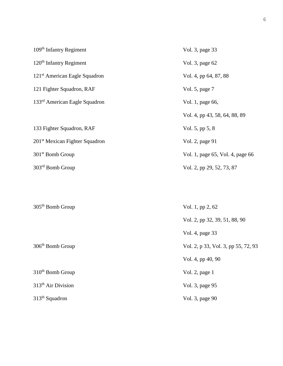| 109 <sup>th</sup> Infantry Regiment        | Vol. 3, page 33                  |
|--------------------------------------------|----------------------------------|
| $120th$ Infantry Regiment                  | Vol. 3, page 62                  |
| 121 <sup>st</sup> American Eagle Squadron  | Vol. 4, pp 64, 87, 88            |
| 121 Fighter Squadron, RAF                  | Vol. 5, page 7                   |
| 133 <sup>rd</sup> American Eagle Squadron  | Vol. 1, page 66,                 |
|                                            | Vol. 4, pp 43, 58, 64, 88, 89    |
| 133 Fighter Squadron, RAF                  | Vol. 5, pp 5, 8                  |
| 201 <sup>st</sup> Mexican Fighter Squadron | Vol. 2, page 91                  |
| 301 <sup>st</sup> Bomb Group               | Vol. 1, page 65, Vol. 4, page 66 |
| 303 <sup>rd</sup> Bomb Group               | Vol. 2, pp 29, 52, 73, 87        |
|                                            |                                  |

| $305th$ Bomb Group             | Vol. 1, pp 2, 62                    |
|--------------------------------|-------------------------------------|
|                                | Vol. 2, pp 32, 39, 51, 88, 90       |
|                                | Vol. 4, page 33                     |
| $306th$ Bomb Group             | Vol. 2, p 33, Vol. 3, pp 55, 72, 93 |
|                                | Vol. 4, pp 40, 90                   |
| $310th$ Bomb Group             | Vol. 2, page $1$                    |
| 313 <sup>th</sup> Air Division | Vol. 3, page 95                     |
| $313th$ Squadron               | Vol. 3, page 90                     |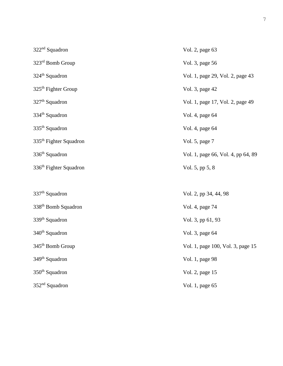| $322nd$ Squadron                   | Vol. 2, page 63                    |
|------------------------------------|------------------------------------|
| 323rd Bomb Group                   | Vol. 3, page 56                    |
| 324 <sup>th</sup> Squadron         | Vol. 1, page 29, Vol. 2, page 43   |
| $325th$ Fighter Group              | Vol. 3, page 42                    |
| $327th$ Squadron                   | Vol. 1, page 17, Vol. 2, page 49   |
| 334 <sup>th</sup> Squadron         | Vol. 4, page 64                    |
| 335 <sup>th</sup> Squadron         | Vol. 4, page 64                    |
| 335 <sup>th</sup> Fighter Squadron | Vol. 5, page 7                     |
| 336 <sup>th</sup> Squadron         | Vol. 1, page 66, Vol. 4, pp 64, 89 |
| 336 <sup>th</sup> Fighter Squadron | Vol. 5, pp 5, 8                    |
|                                    |                                    |
| 337 <sup>th</sup> Squadron         | Vol. 2, pp 34, 44, 98              |
| 338 <sup>th</sup> Bomb Squadron    | Vol. 4, page 74                    |
| 339 <sup>th</sup> Squadron         | Vol. 3, pp 61, 93                  |
| 340 <sup>th</sup> Squadron         | Vol. 3, page 64                    |
| 345 <sup>th</sup> Bomb Group       | Vol. 1, page 100, Vol. 3, page 15  |
| 349 <sup>th</sup> Squadron         | Vol. 1, page 98                    |
| 350 <sup>th</sup> Squadron         | Vol. 2, page 15                    |
| 352 <sup>nd</sup> Squadron         | Vol. 1, page 65                    |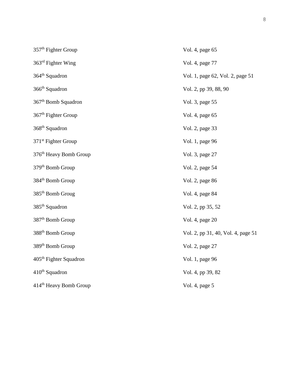| 357 <sup>th</sup> Fighter Group    | Vol. 4, page 65                    |
|------------------------------------|------------------------------------|
| $363rd$ Fighter Wing               | Vol. 4, page 77                    |
| 364 <sup>th</sup> Squadron         | Vol. 1, page 62, Vol. 2, page 51   |
| 366 <sup>th</sup> Squadron         | Vol. 2, pp 39, 88, 90              |
| $367th$ Bomb Squadron              | Vol. 3, page 55                    |
| 367 <sup>th</sup> Fighter Group    | Vol. 4, page 65                    |
| 368 <sup>th</sup> Squadron         | Vol. 2, page 33                    |
| 371 <sup>st</sup> Fighter Group    | Vol. 1, page 96                    |
| 376 <sup>th</sup> Heavy Bomb Group | Vol. 3, page 27                    |
| 379 <sup>th</sup> Bomb Group       | Vol. 2, page 54                    |
| 384 <sup>th</sup> Bomb Group       | Vol. 2, page 86                    |
| $385th$ Bomb Groug                 | Vol. 4, page 84                    |
| 385 <sup>th</sup> Squadron         | Vol. 2, pp 35, 52                  |
| 387 <sup>th</sup> Bomb Group       | Vol. 4, page 20                    |
| 388 <sup>th</sup> Bomb Group       | Vol. 2, pp 31, 40, Vol. 4, page 51 |
| 389 <sup>th</sup> Bomb Group       | Vol. 2, page 27                    |
| 405 <sup>th</sup> Fighter Squadron | Vol. 1, page 96                    |
| $410th$ Squadron                   | Vol. 4, pp 39, 82                  |
| 414 <sup>th</sup> Heavy Bomb Group | Vol. 4, page 5                     |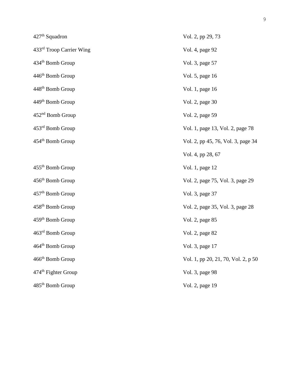| 427 <sup>th</sup> Squadron      | Vol. 2, pp 29, 73                   |
|---------------------------------|-------------------------------------|
| 433rd Troop Carrier Wing        | Vol. 4, page 92                     |
| 434 <sup>th</sup> Bomb Group    | Vol. 3, page 57                     |
| 446 <sup>th</sup> Bomb Group    | Vol. 5, page 16                     |
| 448 <sup>th</sup> Bomb Group    | Vol. 1, page 16                     |
| 449 <sup>th</sup> Bomb Group    | Vol. 2, page 30                     |
| 452 <sup>nd</sup> Bomb Group    | Vol. 2, page 59                     |
| 453 <sup>rd</sup> Bomb Group    | Vol. 1, page 13, Vol. 2, page 78    |
| 454 <sup>th</sup> Bomb Group    | Vol. 2, pp 45, 76, Vol. 3, page 34  |
|                                 | Vol. 4, pp 28, 67                   |
| 455 <sup>th</sup> Bomb Group    | Vol. 1, page 12                     |
| 456 <sup>th</sup> Bomb Group    | Vol. 2, page 75, Vol. 3, page 29    |
| 457 <sup>th</sup> Bomb Group    | Vol. 3, page 37                     |
| 458 <sup>th</sup> Bomb Group    | Vol. 2, page 35, Vol. 3, page 28    |
| $459th$ Bomb Group              | Vol. 2, page 85                     |
| 463 <sup>rd</sup> Bomb Group    | Vol. 2, page 82                     |
| 464 <sup>th</sup> Bomb Group    | Vol. 3, page 17                     |
| 466 <sup>th</sup> Bomb Group    | Vol. 1, pp 20, 21, 70, Vol. 2, p 50 |
| 474 <sup>th</sup> Fighter Group | Vol. 3, page 98                     |
| 485 <sup>th</sup> Bomb Group    | Vol. 2, page 19                     |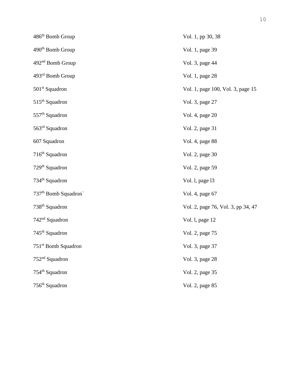| 486 <sup>th</sup> Bomb Group                 | Vol. 1, pp 30, 38                  |
|----------------------------------------------|------------------------------------|
| 490 <sup>th</sup> Bomb Group                 | Vol. 1, page 39                    |
| 492 <sup>nd</sup> Bomb Group                 | Vol. 3, page 44                    |
| 493rd Bomb Group                             | Vol. 1, page 28                    |
| $501st$ Squadron                             | Vol. 1, page 100, Vol. 3, page 15  |
| $515th$ Squadron                             | Vol. 3, page 27                    |
| 557 <sup>th</sup> Squadron                   | Vol. 4, page 20                    |
| 563 <sup>rd</sup> Squadron                   | Vol. 2, page 31                    |
| 607 Squadron                                 | Vol. 4, page 88                    |
| $716th$ Squadron                             | Vol. 2, page 30                    |
| $729th$ Squadron                             | Vol. 2, page 59                    |
| 734 <sup>th</sup> Squadron                   | Vol. 1, page 13                    |
| 737 <sup>th</sup> Bomb Squadron <sup>*</sup> | Vol. 4, page 67                    |
| 738 <sup>th</sup> Squadron                   | Vol. 2, page 76, Vol. 3, pp 34, 47 |
| $742nd$ Squadron                             | Vol. 1, page 12                    |
| $745th$ Squadron                             | Vol. 2, page 75                    |
| 751 <sup>st</sup> Bomb Squadron              | Vol. 3, page 37                    |
| 752 <sup>nd</sup> Squadron                   | Vol. 3, page 28                    |
| $754th$ Squadron                             | Vol. 2, page 35                    |
| 756 <sup>th</sup> Squadron                   | Vol. 2, page 85                    |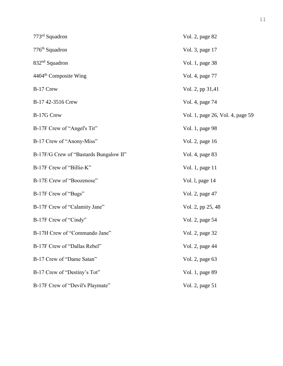| $773rd$ Squadron                       | Vol. 2, page 82                  |
|----------------------------------------|----------------------------------|
| 776 <sup>th</sup> Squadron             | Vol. 3, page 17                  |
| $832nd$ Squadron                       | Vol. 1, page 38                  |
| 4404 <sup>th</sup> Composite Wing      | Vol. 4, page 77                  |
| B-17 Crew                              | Vol. 2, pp 31,41                 |
| B-17 42-3516 Crew                      | Vol. 4, page 74                  |
| B-17G Crew                             | Vol. 1, page 26, Vol. 4, page 59 |
| B-17F Crew of "Angel's Tit"            | Vol. 1, page 98                  |
| B-17 Crew of "Anony-Miss"              | Vol. 2, page 16                  |
| B-17F/G Crew of "Bastards Bungalow II" | Vol. 4, page 83                  |
| B-17F Crew of "Billie-K"               | Vol. 1, page 11                  |
| B-17E Crew of "Boozenose"              | Vol. 1, page 14                  |
| B-17F Crew of "Bugs"                   | Vol. 2, page 47                  |
| B-17F Crew of "Calamity Jane"          | Vol. 2, pp 25, 48                |
| B-17F Crew of "Cindy"                  | Vol. 2, page 54                  |
| B-17H Crew of "Commando Jane"          | Vol. 2, page 32                  |
| B-17F Crew of "Dallas Rebel"           | Vol. 2, page 44                  |
| B-17 Crew of "Dame Satan"              | Vol. 2, page 63                  |
| B-17 Crew of "Destiny's Tot"           | Vol. 1, page 89                  |
| B-17F Crew of "Devil's Playmate"       | Vol. 2, page 51                  |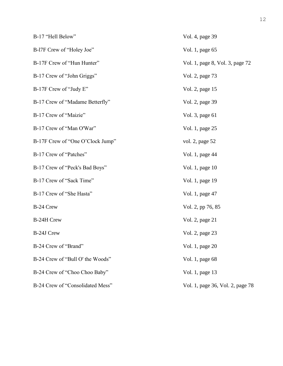| B-17 "Hell Below"                | Vol. 4, page 39                  |
|----------------------------------|----------------------------------|
| B-17F Crew of "Holey Joe"        | Vol. 1, page 65                  |
| B-17F Crew of "Hun Hunter"       | Vol. 1, page 8, Vol. 3, page 72  |
| B-17 Crew of "John Griggs"       | Vol. 2, page 73                  |
| B-17F Crew of "Judy E"           | Vol. 2, page 15                  |
| B-17 Crew of "Madame Betterfly"  | Vol. 2, page 39                  |
| B-17 Crew of "Maizie"            | Vol. 3, page 61                  |
| B-17 Crew of "Man O'War"         | Vol. 1, page 25                  |
| B-17F Crew of "One O'Clock Jump" | vol. 2, page 52                  |
| B-17 Crew of "Patches"           | Vol. 1, page 44                  |
| B-17 Crew of "Peck's Bad Boys"   | Vol. 1, page 10                  |
| B-17 Crew of "Sack Time"         | Vol. 1, page 19                  |
| B-17 Crew of "She Hasta"         | Vol. 1, page 47                  |
| B-24 Crew                        | Vol. 2, pp 76, 85                |
| B-24H Crew                       | Vol. 2, page 21                  |
| B-24J Crew                       | Vol. 2, page 23                  |
| B-24 Crew of "Brand"             | Vol. 1, page 20                  |
| B-24 Crew of "Bull O' the Woods" | Vol. 1, page 68                  |
| B-24 Crew of "Choo Choo Baby"    | Vol. 1, page 13                  |
| B-24 Crew of "Consolidated Mess" | Vol. 1, page 36, Vol. 2, page 78 |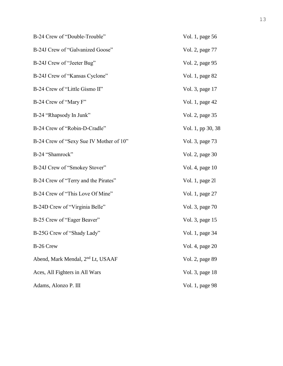| B-24 Crew of "Double-Trouble"                 | Vol. 1, page 56   |
|-----------------------------------------------|-------------------|
| B-24J Crew of "Galvanized Goose"              | Vol. 2, page 77   |
| B-24J Crew of "Jeeter Bug"                    | Vol. 2, page 95   |
| B-24J Crew of "Kansas Cyclone"                | Vol. 1, page 82   |
| B-24 Crew of "Little Gismo II"                | Vol. 3, page 17   |
| B-24 Crew of "Mary F"                         | Vol. 1, page 42   |
| B-24 "Rhapsody In Junk"                       | Vol. 2, page 35   |
| B-24 Crew of "Robin-D-Cradle"                 | Vol. 1, pp 30, 38 |
| B-24 Crew of "Sexy Sue IV Mother of 10"       | Vol. 3, page 73   |
| B-24 "Shamrock"                               | Vol. 2, page 30   |
| B-24J Crew of "Smokey Stover"                 | Vol. 4, page 10   |
| B-24 Crew of "Terry and the Pirates"          | Vol. 1, page 21   |
| B-24 Crew of "This Love Of Mine"              | Vol. 1, page 27   |
| B-24D Crew of "Virginia Belle"                | Vol. 3, page 70   |
| B-25 Crew of "Eager Beaver"                   | Vol. 3, page 15   |
| B-25G Crew of "Shady Lady"                    | Vol. 1, page 34   |
| B-26 Crew                                     | Vol. 4, page 20   |
| Abend, Mark Mendal, 2 <sup>nd</sup> Lt, USAAF | Vol. 2, page 89   |
| Aces, All Fighters in All Wars                | Vol. 3, page 18   |
| Adams, Alonzo P. III                          | Vol. 1, page 98   |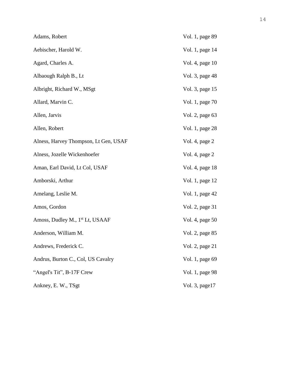| Adams, Robert                               | Vol. 1, page 89 |
|---------------------------------------------|-----------------|
| Aebischer, Harold W.                        | Vol. 1, page 14 |
| Agard, Charles A.                           | Vol. 4, page 10 |
| Albaough Ralph B., Lt                       | Vol. 3, page 48 |
| Albright, Richard W., MSgt                  | Vol. 3, page 15 |
| Allard, Marvin C.                           | Vol. 1, page 70 |
| Allen, Jarvis                               | Vol. 2, page 63 |
| Allen, Robert                               | Vol. 1, page 28 |
| Alness, Harvey Thompson, Lt Gen, USAF       | Vol. 4, page 2  |
| Alness, Jozelle Wickenhoefer                | Vol. 4, page 2  |
| Aman, Earl David, Lt Col, USAF              | Vol. 4, page 18 |
| Amborski, Arthur                            | Vol. 1, page 12 |
| Amelang, Leslie M.                          | Vol. 1, page 42 |
| Amos, Gordon                                | Vol. 2, page 31 |
| Amoss, Dudley M., 1 <sup>st</sup> Lt, USAAF | Vol. 4, page 50 |
| Anderson, William M.                        | Vol. 2, page 85 |
| Andrews, Frederick C.                       | Vol. 2, page 21 |
| Andrus, Burton C., Col, US Cavalry          | Vol. 1, page 69 |
| "Angel's Tit", B-17F Crew                   | Vol. 1, page 98 |
| Ankney, E. W., TSgt                         | Vol. 3, page17  |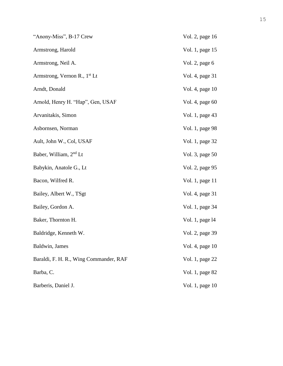| "Anony-Miss", B-17 Crew                  | Vol. 2, page 16 |
|------------------------------------------|-----------------|
| Armstrong, Harold                        | Vol. 1, page 15 |
| Armstrong, Neil A.                       | Vol. 2, page 6  |
| Armstrong, Vernon R., 1 <sup>st</sup> Lt | Vol. 4, page 31 |
| Arndt, Donald                            | Vol. 4, page 10 |
| Arnold, Henry H. "Hap", Gen, USAF        | Vol. 4, page 60 |
| Arvanitakis, Simon                       | Vol. 1, page 43 |
| Asbornsen, Norman                        | Vol. 1, page 98 |
| Ault, John W., Col, USAF                 | Vol. 1, page 32 |
| Baber, William, 2 <sup>nd</sup> Lt       | Vol. 3, page 50 |
| Babykin, Anatole G., Lt                  | Vol. 2, page 95 |
| Bacon, Wilfred R.                        | Vol. 1, page 11 |
| Bailey, Albert W., TSgt                  | Vol. 4, page 31 |
| Bailey, Gordon A.                        | Vol. 1, page 34 |
| Baker, Thornton H.                       | Vol. 1, page 14 |
| Baldridge, Kenneth W.                    | Vol. 2, page 39 |
| Baldwin, James                           | Vol. 4, page 10 |
| Baraldi, F. H. R., Wing Commander, RAF   | Vol. 1, page 22 |
| Barba, C.                                | Vol. 1, page 82 |
| Barberis, Daniel J.                      | Vol. 1, page 10 |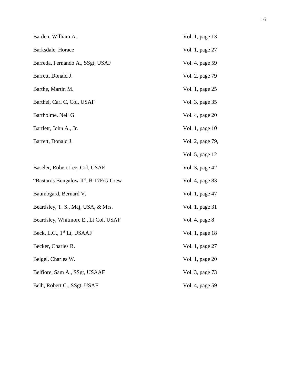| Barden, William A.                    | Vol. 1, page 13  |
|---------------------------------------|------------------|
| Barksdale, Horace                     | Vol. 1, page 27  |
| Barreda, Fernando A., SSgt, USAF      | Vol. 4, page 59  |
| Barrett, Donald J.                    | Vol. 2, page 79  |
| Barthe, Martin M.                     | Vol. 1, page 25  |
| Barthel, Carl C, Col, USAF            | Vol. 3, page 35  |
| Bartholme, Neil G.                    | Vol. 4, page 20  |
| Bartlett, John A., Jr.                | Vol. 1, page 10  |
| Barrett, Donald J.                    | Vol. 2, page 79, |
|                                       | Vol. 5, page 12  |
| Baseler, Robert Lee, Col, USAF        | Vol. 3, page 42  |
| "Bastards Bungalow II", B-17F/G Crew  | Vol. 4, page 83  |
| Baumbgard, Bernard V.                 | Vol. 1, page 47  |
| Beardsley, T. S., Maj, USA, & Mrs.    | Vol. 1, page 31  |
| Beardsley, Whitmore E., Lt Col, USAF  | Vol. 4, page 8   |
| Beck, L.C., 1 <sup>st</sup> Lt, USAAF | Vol. 1, page 18  |
| Becker, Charles R.                    | Vol. 1, page 27  |
| Beigel, Charles W.                    | Vol. 1, page 20  |
| Belfiore, Sam A., SSgt, USAAF         | Vol. 3, page 73  |
| Belh, Robert C., SSgt, USAF           | Vol. 4, page 59  |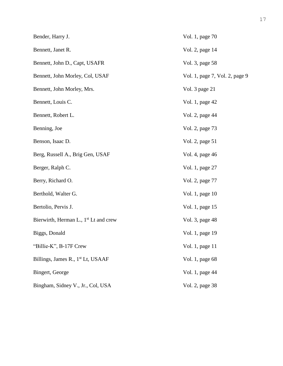| Bender, Harry J.                                  | Vol. 1, page 70                |
|---------------------------------------------------|--------------------------------|
| Bennett, Janet R.                                 | Vol. 2, page 14                |
| Bennett, John D., Capt, USAFR                     | Vol. 3, page 58                |
| Bennett, John Morley, Col, USAF                   | Vol. 1, page 7, Vol. 2, page 9 |
| Bennett, John Morley, Mrs.                        | Vol. 3 page 21                 |
| Bennett, Louis C.                                 | Vol. 1, page 42                |
| Bennett, Robert L.                                | Vol. 2, page 44                |
| Benning, Joe                                      | Vol. 2, page 73                |
| Benson, Isaac D.                                  | Vol. 2, page 51                |
| Berg, Russell A., Brig Gen, USAF                  | Vol. 4, page 46                |
| Berger, Ralph C.                                  | Vol. 1, page 27                |
| Berry, Richard O.                                 | Vol. 2, page 77                |
| Berthold, Walter G.                               | Vol. 1, page 10                |
| Bertolio, Pervis J.                               | Vol. 1, page 15                |
| Bierwirth, Herman L., 1 <sup>st</sup> Lt and crew | Vol. 3, page 48                |
| Biggs, Donald                                     | Vol. 1, page 19                |
| "Billie-K", B-17F Crew                            | Vol. 1, page 11                |
| Billings, James R., 1 <sup>st</sup> Lt, USAAF     | Vol. 1, page 68                |
| Bingert, George                                   | Vol. 1, page 44                |
| Bingham, Sidney V., Jr., Col, USA                 | Vol. 2, page 38                |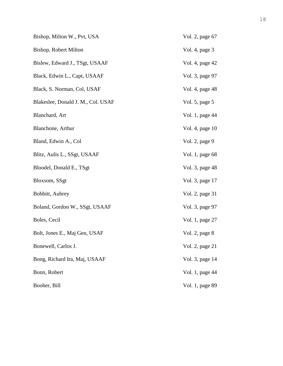| Bishop, Milton W., Pvt, USA        | Vol. 2, page 67  |
|------------------------------------|------------------|
| Bishop, Robert Milton              | Vol. 4, page 3   |
| Bislew, Edward J., TSgt, USAAF     | Vol. 4, page 42  |
| Black, Edwin L., Capt, USAAF       | Vol. 3, page 97  |
| Black, S. Norman, Col, USAF        | Vol. 4, page 48  |
| Blakeslee, Donald J. M., Col. USAF | Vol. 5, page $5$ |
| Blanchard, Art                     | Vol. 1, page 44  |
| Blanchone, Arthur                  | Vol. 4, page 10  |
| Bland, Edwin A., Col               | Vol. 2, page 9   |
| Blitz, Aulis L., SSgt, USAAF       | Vol. 1, page 68  |
| Bloodel, Donald E., TSgt           | Vol. 3, page 48  |
| Bloxsom, SSgt                      | Vol. 3, page 17  |
| Bobbitt, Aubrey                    | Vol. 2, page 31  |
| Boland, Gordon W., SSgt, USAAF     | Vol. 3, page 97  |
| Boles, Cecil                       | Vol. 1, page 27  |
| Bolt, Jones E., Maj Gen, USAF      | Vol. 2, page 8   |
| Bonewell, Carlos J.                | Vol. 2, page 21  |
| Bong, Richard Ira, Maj, USAAF      | Vol. 3, page 14  |
| Bonn, Robert                       | Vol. 1, page 44  |
| Booher, Bill                       | Vol. 1, page 89  |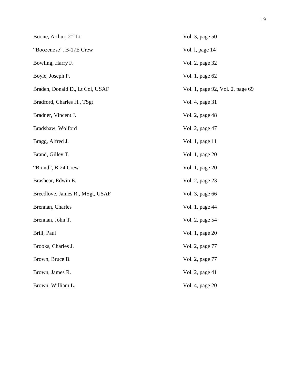| Boone, Arthur, 2 <sup>nd</sup> Lt | Vol. 3, page 50                  |
|-----------------------------------|----------------------------------|
| "Boozenose", B-17E Crew           | Vol. 1, page 14                  |
| Bowling, Harry F.                 | Vol. 2, page 32                  |
| Boyle, Joseph P.                  | Vol. 1, page 62                  |
| Braden, Donald D., Lt Col, USAF   | Vol. 1, page 92, Vol. 2, page 69 |
| Bradford, Charles H., TSgt        | Vol. 4, page 31                  |
| Bradner, Vincent J.               | Vol. 2, page 48                  |
| Bradshaw, Wolford                 | Vol. 2, page 47                  |
| Bragg, Alfred J.                  | Vol. 1, page 11                  |
| Brand, Gilley T.                  | Vol. 1, page 20                  |
| "Brand", B-24 Crew                | Vol. 1, page 20                  |
| Brashear, Edwin E.                | Vol. 2, page 23                  |
| Breedlove, James R., MSgt, USAF   | Vol. 3, page 66                  |
| Brennan, Charles                  | Vol. 1, page 44                  |
| Brennan, John T.                  | Vol. 2, page 54                  |
| Brill, Paul                       | Vol. 1, page 20                  |
| Brooks, Charles J.                | Vol. 2, page 77                  |
| Brown, Bruce B.                   | Vol. 2, page 77                  |
| Brown, James R.                   | Vol. 2, page 41                  |
| Brown, William L.                 | Vol. 4, page 20                  |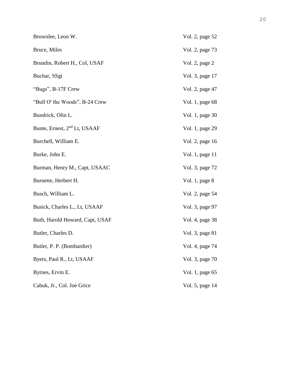| Brownlee, Leon W.                        | Vol. 2, page 52 |
|------------------------------------------|-----------------|
| Bruce, Miles                             | Vol. 2, page 73 |
| Brundin, Robert H., Col, USAF            | Vol. 2, page 2  |
| Buchar, SSgt                             | Vol. 3, page 17 |
| "Bugs", B-17F Crew                       | Vol. 2, page 47 |
| "Bull O' the Woods", B-24 Crew           | Vol. 1, page 68 |
| Bundrick, Olin L.                        | Vol. 1, page 30 |
| Bunte, Ernest, 2 <sup>nd</sup> Lt, USAAF | Vol. 1, page 29 |
| Burchell, William E.                     | Vol. 2, page 16 |
| Burke, John E.                           | Vol. 1, page 11 |
| Burman, Henry M., Capt, USAAC            | Vol. 3, page 72 |
| Burnette, Herbert H.                     | Vol. 1, page 8  |
| Busch, William L.                        | Vol. 2, page 54 |
| Busick, Charles L., Lt, USAAF            | Vol. 3, page 97 |
| Buth, Harold Howard, Capt, USAF          | Vol. 4, page 38 |
| Butler, Charles D.                       | Vol. 3, page 81 |
| Butler, P. P. (Bombardier)               | Vol. 4, page 74 |
| Byers, Paul R., Lt, USAAF                | Vol. 3, page 70 |
| Byrnes, Ervin E.                         | Vol. 1, page 65 |
| Cabuk, Jr., Col. Joe Grice               | Vol. 5, page 14 |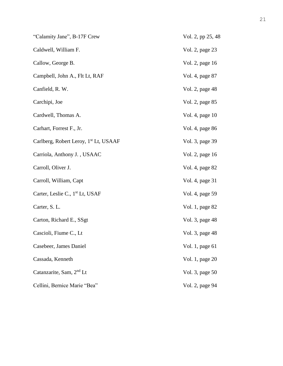| "Calamity Jane", B-17F Crew                       | Vol. 2, pp 25, 48 |
|---------------------------------------------------|-------------------|
| Caldwell, William F.                              | Vol. 2, page 23   |
| Callow, George B.                                 | Vol. 2, page 16   |
| Campbell, John A., Flt Lt, RAF                    | Vol. 4, page 87   |
| Canfield, R. W.                                   | Vol. 2, page 48   |
| Carchipi, Joe                                     | Vol. 2, page 85   |
| Cardwell, Thomas A.                               | Vol. 4, page 10   |
| Carhart, Forrest F., Jr.                          | Vol. 4, page 86   |
| Carlberg, Robert Leroy, 1 <sup>st</sup> Lt, USAAF | Vol. 3, page 39   |
| Carriola, Anthony J., USAAC                       | Vol. 2, page 16   |
| Carroll, Oliver J.                                | Vol. 4, page 82   |
| Carroll, William, Capt                            | Vol. 4, page 31   |
| Carter, Leslie C., 1 <sup>st</sup> Lt, USAF       | Vol. 4, page 59   |
| Carter, S. L.                                     | Vol. 1, page 82   |
| Carton, Richard E., SSgt.                         | Vol. 3, page 48   |
| Cascioli, Fiume C., Lt                            | Vol. 3, page 48   |
| Casebeer, James Daniel                            | Vol. 1, page 61   |
| Cassada, Kenneth                                  | Vol. 1, page 20   |
| Catanzarite, Sam, 2 <sup>nd</sup> Lt              | Vol. 3, page 50   |
| Cellini, Bernice Marie "Bea"                      | Vol. 2, page 94   |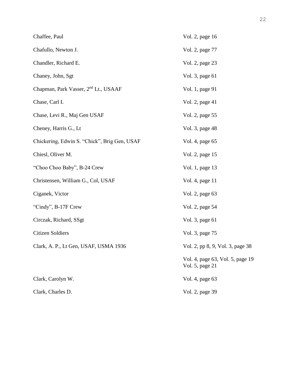| Chaffee, Paul                                    | Vol. 2, page 16                                     |
|--------------------------------------------------|-----------------------------------------------------|
| Chafullo, Newton J.                              | Vol. 2, page 77                                     |
| Chandler, Richard E.                             | Vol. 2, page 23                                     |
| Chaney, John, Sgt                                | Vol. 3, page 61                                     |
| Chapman, Park Vasser, 2 <sup>nd</sup> Lt., USAAF | Vol. 1, page 91                                     |
| Chase, Carl I.                                   | Vol. 2, page 41                                     |
| Chase, Levi R., Maj Gen USAF                     | Vol. 2, page 55                                     |
| Cheney, Harris G., Lt                            | Vol. 3, page 48                                     |
| Chickering, Edwin S. "Chick", Brig Gen, USAF     | Vol. 4, page 65                                     |
| Chiesl, Oliver M.                                | Vol. 2, page 15                                     |
| "Choo Choo Baby", B-24 Crew                      | Vol. 1, page 13                                     |
| Christensen, William G., Col, USAF               | Vol. 4, page 11                                     |
| Ciganek, Victor                                  | Vol. 2, page 63                                     |
| "Cindy", B-17F Crew                              | Vol. 2, page 54                                     |
| Circzak, Richard, SSgt                           | Vol. 3, page 61                                     |
| <b>Citizen Soldiers</b>                          | Vol. 3, page 75                                     |
| Clark, A. P., Lt Gen, USAF, USMA 1936            | Vol. 2, pp 8, 9, Vol. 3, page 38                    |
|                                                  | Vol. 4, page 63, Vol. 5, page 19<br>Vol. 5, page 21 |
| Clark, Carolyn W.                                | Vol. 4, page 63                                     |
| Clark, Charles D.                                | Vol. 2, page 39                                     |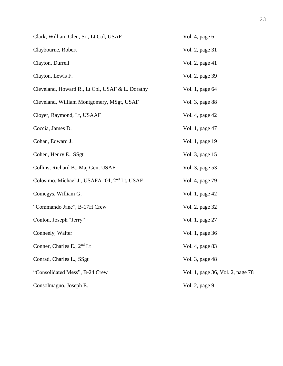| Clark, William Glen, Sr., Lt Col, USAF                    | Vol. 4, page 6                   |
|-----------------------------------------------------------|----------------------------------|
| Claybourne, Robert                                        | Vol. 2, page 31                  |
| Clayton, Durrell                                          | Vol. 2, page 41                  |
| Clayton, Lewis F.                                         | Vol. 2, page 39                  |
| Cleveland, Howard R., Lt Col, USAF & L. Dorathy           | Vol. 1, page 64                  |
| Cleveland, William Montgomery, MSgt, USAF                 | Vol. 3, page 88                  |
| Cloyer, Raymond, Lt, USAAF                                | Vol. 4, page 42                  |
| Coccia, James D.                                          | Vol. 1, page 47                  |
| Cohan, Edward J.                                          | Vol. 1, page 19                  |
| Cohen, Henry E., SSgt                                     | Vol. 3, page 15                  |
| Collins, Richard B., Maj Gen, USAF                        | Vol. 3, page 53                  |
| Colosimo, Michael J., USAFA '04, 2 <sup>nd</sup> Lt, USAF | Vol. 4, page 79                  |
| Comegys, William G.                                       | Vol. 1, page 42                  |
| "Commando Jane", B-17H Crew                               | Vol. 2, page 32                  |
| Conlon, Joseph "Jerry"                                    | Vol. 1, page 27                  |
| Conneely, Walter                                          | Vol. 1, page 36                  |
| Conner, Charles E., $2nd$ Lt                              | Vol. 4, page 83                  |
| Conrad, Charles L., SSgt                                  | Vol. 3, page 48                  |
| "Consolidated Mess", B-24 Crew                            | Vol. 1, page 36, Vol. 2, page 78 |
| Consolmagno, Joseph E.                                    | Vol. 2, page 9                   |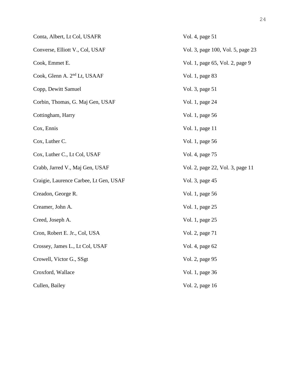| Conta, Albert, Lt Col, USAFR             | Vol. 4, page 51                   |
|------------------------------------------|-----------------------------------|
| Converse, Elliott V., Col, USAF          | Vol. 3, page 100, Vol. 5, page 23 |
| Cook, Emmet E.                           | Vol. 1, page 65, Vol. 2, page 9   |
| Cook, Glenn A. 2 <sup>nd</sup> Lt, USAAF | Vol. 1, page 83                   |
| Copp, Dewitt Samuel                      | Vol. 3, page 51                   |
| Corbin, Thomas, G. Maj Gen, USAF         | Vol. 1, page 24                   |
| Cottingham, Harry                        | Vol. 1, page 56                   |
| Cox, Ennis                               | Vol. 1, page 11                   |
| Cox, Luther C.                           | Vol. 1, page 56                   |
| Cox, Luther C., Lt Col, USAF             | Vol. 4, page 75                   |
| Crabb, Jarred V., Maj Gen, USAF          | Vol. 2, page 22, Vol. 3, page 11  |
| Craigie, Laurence Carbee, Lt Gen, USAF   | Vol. 3, page 45                   |
| Creadon, George R.                       | Vol. 1, page 56                   |
| Creamer, John A.                         | Vol. 1, page 25                   |
| Creed, Joseph A.                         | Vol. 1, page 25                   |
| Cron, Robert E. Jr., Col, USA            | Vol. 2, page 71                   |
| Crossey, James L., Lt Col, USAF          | Vol. 4, page 62                   |
| Crowell, Victor G., SSgt                 | Vol. 2, page 95                   |
| Croxford, Wallace                        | Vol. 1, page 36                   |
| Cullen, Bailey                           | Vol. 2, page 16                   |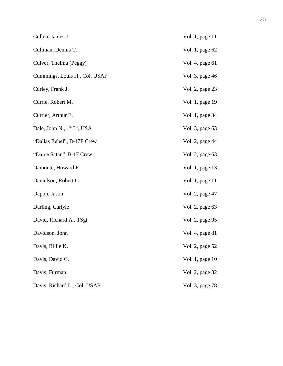| Cullen, James J.                       | Vol. 1, page 11 |
|----------------------------------------|-----------------|
| Cullinan, Dennis T.                    | Vol. 1, page 62 |
| Culver, Thelma (Peggy)                 | Vol. 4, page 61 |
| Cummings, Louis H., Col, USAF          | Vol. 3, page 46 |
| Curley, Frank J.                       | Vol. 2, page 23 |
| Currie, Robert M.                      | Vol. 1, page 19 |
| Currier, Arthur E.                     | Vol. 1, page 34 |
| Dale, John N., 1 <sup>st</sup> Lt, USA | Vol. 3, page 63 |
| "Dallas Rebel", B-17F Crew             | Vol. 2, page 44 |
| "Dame Satan", B-17 Crew                | Vol. 2, page 63 |
| Damonte, Howard F.                     | Vol. 1, page 13 |
| Danielson, Robert C.                   | Vol. 1, page 11 |
| Dapon, Jason                           | Vol. 2, page 47 |
| Darling, Carlyle                       | Vol. 2, page 63 |
| David, Richard A., TSgt                | Vol. 2, page 95 |
| Davidson, John                         | Vol. 4, page 81 |
| Davis, Billie K.                       | Vol. 2, page 52 |
| Davis, David C.                        | Vol. 1, page 10 |
| Davis, Furman                          | Vol. 2, page 32 |
| Davis, Richard L., Col, USAF           | Vol. 3, page 78 |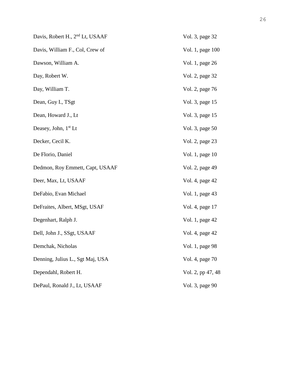| Davis, Robert H., 2 <sup>nd</sup> Lt, USAAF | Vol. 3, page 32   |
|---------------------------------------------|-------------------|
| Davis, William F., Col, Crew of             | Vol. 1, page 100  |
| Dawson, William A.                          | Vol. 1, page 26   |
| Day, Robert W.                              | Vol. 2, page 32   |
| Day, William T.                             | Vol. 2, page 76   |
| Dean, Guy I., TSgt                          | Vol. 3, page 15   |
| Dean, Howard J., Lt                         | Vol. 3, page 15   |
| Deasey, John, 1 <sup>st</sup> Lt            | Vol. 3, page 50   |
| Decker, Cecil K.                            | Vol. 2, page 23   |
| De Florio, Daniel                           | Vol. 1, page 10   |
| Dedmon, Roy Emmett, Capt, USAAF             | Vol. 2, page 49   |
| Deer, Max, Lt, USAAF                        | Vol. 4, page 42   |
| DeFabio, Evan Michael                       | Vol. 1, page 43   |
| DeFraites, Albert, MSgt, USAF               | Vol. 4, page 17   |
| Degenhart, Ralph J.                         | Vol. 1, page 42   |
| Dell, John J., SSgt, USAAF                  | Vol. 4, page 42   |
| Demchak, Nicholas                           | Vol. 1, page 98   |
| Denning, Julius L., Sgt Maj, USA            | Vol. 4, page 70   |
| Dependahl, Robert H.                        | Vol. 2, pp 47, 48 |
| DePaul, Ronald J., Lt, USAAF                | Vol. 3, page 90   |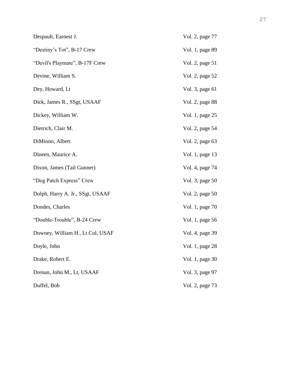| Despault, Earnest J.             | Vol. 2, page 77 |
|----------------------------------|-----------------|
| "Destiny's Tot", B-17 Crew       | Vol. 1, page 89 |
| "Devil's Playmate", B-17F Crew   | Vol. 2, page 51 |
| Devine, William S.               | Vol. 2, page 52 |
| Dey, Howard, Lt                  | Vol. 3, page 61 |
| Dick, James R., SSgt, USAAF      | Vol. 2, page 88 |
| Dickey, William W.               | Vol. 1, page 25 |
| Dietrich, Clair M.               | Vol. 2, page 54 |
| DiMinno, Albert                  | Vol. 2, page 63 |
| Dineen, Maurice A.               | Vol. 1, page 13 |
| Dixon, James (Tail Gunner)       | Vol. 4, page 74 |
| "Dog Patch Express" Crew         | Vol. 3, page 50 |
| Dolph, Harry A. Jr., SSgt, USAAF | Vol. 2, page 50 |
| Dondes, Charles                  | Vol. 1, page 70 |
| "Double-Trouble", B-24 Crew      | Vol. 1, page 56 |
| Downey, William H., Lt Col, USAF | Vol. 4, page 39 |
| Doyle, John                      | Vol. 1, page 28 |
| Drake, Robert E.                 | Vol. 1, page 30 |
| Drenan, John M., Lt, USAAF       | Vol. 3, page 97 |
| Duffel, Bob                      | Vol. 2, page 73 |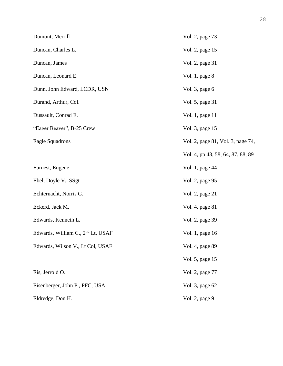| Dumont, Merrill                               | Vol. 2, page 73                   |
|-----------------------------------------------|-----------------------------------|
| Duncan, Charles L.                            | Vol. 2, page 15                   |
| Duncan, James                                 | Vol. 2, page 31                   |
| Duncan, Leonard E.                            | Vol. 1, page 8                    |
| Dunn, John Edward, LCDR, USN                  | Vol. 3, page 6                    |
| Durand, Arthur, Col.                          | Vol. 5, page 31                   |
| Dussault, Conrad E.                           | Vol. 1, page 11                   |
| "Eager Beaver", B-25 Crew                     | Vol. 3, page 15                   |
| Eagle Squadrons                               | Vol. 2, page 81, Vol. 3, page 74, |
|                                               | Vol. 4, pp 43, 58, 64, 87, 88, 89 |
| Earnest, Eugene                               | Vol. 1, page 44                   |
| Ebel, Doyle V., SSgt                          | Vol. 2, page 95                   |
| Echternacht, Norris G.                        | Vol. 2, page 21                   |
| Eckerd, Jack M.                               | Vol. 4, page 81                   |
| Edwards, Kenneth L.                           | Vol. 2, page 39                   |
| Edwards, William C., 2 <sup>nd</sup> Lt, USAF | Vol. 1, page 16                   |
| Edwards, Wilson V., Lt Col, USAF              | Vol. 4, page 89                   |
|                                               | Vol. 5, page 15                   |
| Eis, Jerrold O.                               | Vol. 2, page 77                   |
| Eisenberger, John P., PFC, USA                | Vol. 3, page 62                   |
| Eldredge, Don H.                              | Vol. 2, page 9                    |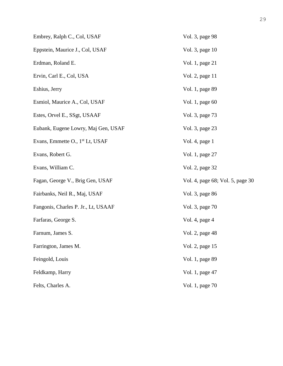| Embrey, Ralph C., Col, USAF                 | Vol. 3, page 98                  |  |
|---------------------------------------------|----------------------------------|--|
| Eppstein, Maurice J., Col, USAF             | Vol. 3, page 10                  |  |
| Erdman, Roland E.                           | Vol. 1, page 21                  |  |
| Ervin, Carl E., Col, USA                    | Vol. 2, page 11                  |  |
| Eshius, Jerry                               | Vol. 1, page 89                  |  |
| Esmiol, Maurice A., Col, USAF               | Vol. 1, page 60                  |  |
| Estes, Orvel E., SSgt, USAAF                | Vol. 3, page 73                  |  |
| Eubank, Eugene Lowry, Maj Gen, USAF         | Vol. 3, page 23                  |  |
| Evans, Emmette O., 1 <sup>st</sup> Lt, USAF | Vol. 4, page 1                   |  |
| Evans, Robert G.                            | Vol. 1, page 27                  |  |
| Evans, William C.                           | Vol. 2, page 32                  |  |
| Fagan, George V., Brig Gen, USAF            | Vol. 4, page 68; Vol. 5, page 30 |  |
| Fairbanks, Neil R., Maj, USAF               | Vol. 3, page 86                  |  |
| Fangonis, Charles P. Jr., Lt, USAAF         | Vol. 3, page 70                  |  |
| Farfaras, George S.                         | Vol. 4, page 4                   |  |
| Farnum, James S.                            | Vol. 2, page 48                  |  |
| Farrington, James M.                        | Vol. 2, page 15                  |  |
| Feingold, Louis                             | Vol. 1, page 89                  |  |
| Feldkamp, Harry                             | Vol. 1, page 47                  |  |
| Felts, Charles A.                           | Vol. 1, page 70                  |  |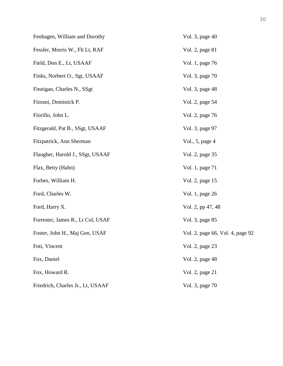| Fenhagen, William and Dorothy     | Vol. 3, page 40                  |
|-----------------------------------|----------------------------------|
| Fessler, Morris W., Flt Lt, RAF   | Vol. 2, page 81                  |
| Field, Don E., Lt, USAAF          | Vol. 1, page 76                  |
| Finks, Norbert O., Sgt, USAAF     | Vol. 3, page 70                  |
| Finnigan, Charles N., SSgt        | Vol. 3, page 48                  |
| Fiorani, Dominick P.              | Vol. 2, page 54                  |
| Fiorillo, John L.                 | Vol. 2, page 76                  |
| Fitzgerald, Pat B., SSgt, USAAF   | Vol. 3, page 97                  |
| Fitzpatrick, Ann Sherman          | Vol., 5, page 4                  |
| Flaugher, Harold J., SSgt, USAAF  | Vol. 2, page 35                  |
| Flax, Betty (Hahn)                | Vol. 1, page 71                  |
| Forbes, William H.                | Vol. 2, page 15                  |
| Ford, Charles W.                  | Vol. 1, page 26                  |
| Ford, Harry X.                    | Vol. 2, pp 47, 48                |
| Forrester, James R., Lt Col, USAF | Vol. 3, page 85                  |
| Foster, John H., Maj Gen, USAF    | Vol. 2, page 66, Vol. 4, page 92 |
| Foti, Vincent                     | Vol. 2, page 23                  |
| Fox, Daniel                       | Vol. 2, page 48                  |
| Fox, Howard R.                    | Vol. 2, page 21                  |
| Friedrich, Charles Jr., Lt, USAAF | Vol. 3, page 70                  |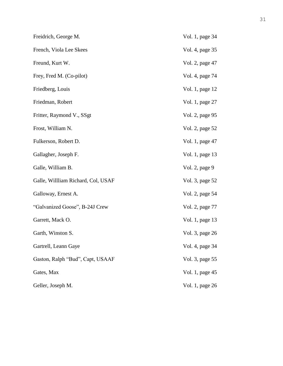| Freidrich, George M.               | Vol. 1, page 34 |
|------------------------------------|-----------------|
| French, Viola Lee Skees            | Vol. 4, page 35 |
| Freund, Kurt W.                    | Vol. 2, page 47 |
| Frey, Fred M. (Co-pilot)           | Vol. 4, page 74 |
| Friedberg, Louis                   | Vol. 1, page 12 |
| Friedman, Robert                   | Vol. 1, page 27 |
| Fritter, Raymond V., SSgt          | Vol. 2, page 95 |
| Frost, William N.                  | Vol. 2, page 52 |
| Fulkerson, Robert D.               | Vol. 1, page 47 |
| Gallagher, Joseph F.               | Vol. 1, page 13 |
| Galle, William B.                  | Vol. 2, page 9  |
| Galle, Willliam Richard, Col, USAF | Vol. 3, page 52 |
| Galloway, Ernest A.                | Vol. 2, page 54 |
| "Galvanized Goose", B-24J Crew     | Vol. 2, page 77 |
| Garrett, Mack O.                   | Vol. 1, page 13 |
| Garth, Winston S.                  | Vol. 3, page 26 |
| Gartrell, Leann Gaye               | Vol. 4, page 34 |
| Gaston, Ralph "Bud", Capt, USAAF   | Vol. 3, page 55 |
| Gates, Max                         | Vol. 1, page 45 |
| Geller, Joseph M.                  | Vol. 1, page 26 |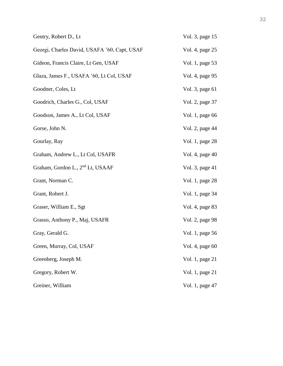| Gentry, Robert D., Lt                        | Vol. 3, page 15 |
|----------------------------------------------|-----------------|
| Georgi, Charles David, USAFA '60, Capt, USAF | Vol. 4, page 25 |
| Gideon, Francis Claire, Lt Gen, USAF         | Vol. 1, page 53 |
| Glaza, James F., USAFA '60, Lt Col, USAF     | Vol. 4, page 95 |
| Goodner, Coles, Lt                           | Vol. 3, page 61 |
| Goodrich, Charles G., Col, USAF              | Vol. 2, page 37 |
| Goodson, James A., Lt Col, USAF              | Vol. 1, page 66 |
| Gorse, John N.                               | Vol. 2, page 44 |
| Gourlay, Ray                                 | Vol. 1, page 28 |
| Graham, Andrew L., Lt Col, USAFR             | Vol. 4, page 40 |
| Graham, Gordon L., 2 <sup>nd</sup> Lt, USAAF | Vol. 3, page 41 |
| Grant, Norman C.                             | Vol. 1, page 28 |
| Grant, Robert J.                             | Vol. 1, page 34 |
| Graser, William E., Sgt                      | Vol. 4, page 83 |
| Grasso, Anthony P., Maj, USAFR               | Vol. 2, page 98 |
| Gray, Gerald G.                              | Vol. 1, page 56 |
| Green, Murray, Col, USAF                     | Vol. 4, page 60 |
| Greenberg, Joseph M.                         | Vol. 1, page 21 |
| Gregory, Robert W.                           | Vol. 1, page 21 |
| Greiner, William                             | Vol. 1, page 47 |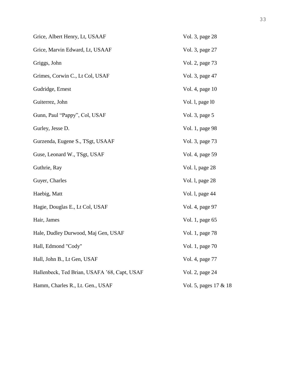| Grice, Albert Henry, Lt, USAAF               | Vol. 3, page 28       |
|----------------------------------------------|-----------------------|
| Grice, Marvin Edward, Lt, USAAF              | Vol. 3, page 27       |
| Griggs, John                                 | Vol. 2, page 73       |
| Grimes, Corwin C., Lt Col, USAF              | Vol. 3, page 47       |
| Gudridge, Ernest                             | Vol. 4, page 10       |
| Guiterrez, John                              | Vol. 1, page 10       |
| Gunn, Paul "Pappy", Col, USAF                | Vol. 3, page 5        |
| Gurley, Jesse D.                             | Vol. 1, page 98       |
| Gurzenda, Eugene S., TSgt, USAAF             | Vol. 3, page 73       |
| Guse, Leonard W., TSgt, USAF                 | Vol. 4, page 59       |
| Guthrie, Ray                                 | Vol. 1, page 28       |
| Guyer, Charles                               | Vol. 1, page 28       |
| Haebig, Matt                                 | Vol. 1, page 44       |
| Hagie, Douglas E., Lt Col, USAF              | Vol. 4, page 97       |
| Hair, James                                  | Vol. 1, page 65       |
| Hale, Dudley Durwood, Maj Gen, USAF          | Vol. 1, page 78       |
| Hall, Edmond "Cody"                          | Vol. 1, page 70       |
| Hall, John B., Lt Gen, USAF                  | Vol. 4, page 77       |
| Hallenbeck, Ted Brian, USAFA '68, Capt, USAF | Vol. 2, page 24       |
| Hamm, Charles R., Lt. Gen., USAF             | Vol. 5, pages 17 & 18 |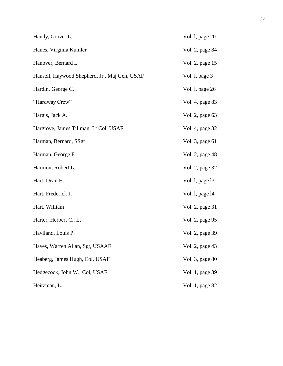| Handy, Grover L.                              | Vol. 1, page 20 |
|-----------------------------------------------|-----------------|
| Hanes, Virginia Kumler                        | Vol. 2, page 84 |
| Hanover, Bernard I.                           | Vol. 2, page 15 |
| Hansell, Haywood Shepherd, Jr., Maj Gen, USAF | Vol. 1, page 3  |
| Hardin, George C.                             | Vol. 1, page 26 |
| "Hardway Crew"                                | Vol. 4, page 83 |
| Hargis, Jack A.                               | Vol. 2, page 63 |
| Hargrove, James Tillman, Lt Col, USAF         | Vol. 4, page 32 |
| Harman, Bernard, SSgt                         | Vol. 3, page 61 |
| Harman, George F.                             | Vol. 2, page 48 |
| Harmon, Robert L.                             | Vol. 2, page 32 |
| Hart, Dean H.                                 | Vol. 1, page 13 |
| Hart, Frederick J.                            | Vol. 1, page 14 |
| Hart, William                                 | Vol. 2, page 31 |
| Harter, Herbert C., Lt                        | Vol. 2, page 95 |
| Haviland, Louis P.                            | Vol. 2, page 39 |
| Hayes, Warren Allan, Sgt, USAAF               | Vol. 2, page 43 |
| Heaberg, James Hugh, Col, USAF                | Vol. 3, page 80 |
| Hedgecock, John W., Col, USAF                 | Vol. 1, page 39 |
| Heitzman, L.                                  | Vol. 1, page 82 |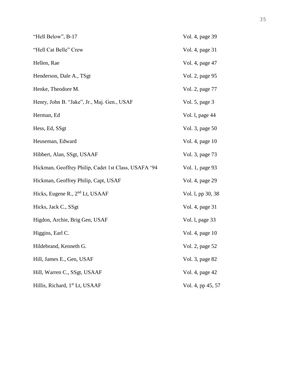| "Hell Below", B-17                                   | Vol. 4, page 39   |
|------------------------------------------------------|-------------------|
| "Hell Cat Belle" Crew                                | Vol. 4, page 31   |
| Hellen, Rae                                          | Vol. 4, page 47   |
| Henderson, Dale A., TSgt                             | Vol. 2, page 95   |
| Henke, Theodore M.                                   | Vol. 2, page 77   |
| Henry, John B. "Jake", Jr., Maj. Gen., USAF          | Vol. 5, page 3    |
| Herman, Ed                                           | Vol. 1, page 44   |
| Hess, Ed, SSgt                                       | Vol. 3, page 50   |
| Heuseman, Edward                                     | Vol. 4, page 10   |
| Hibbert, Alan, SSgt, USAAF                           | Vol. 3, page 73   |
| Hickman, Geoffrey Philip, Cadet 1st Class, USAFA '94 | Vol. 1, page 93   |
| Hickman, Geoffrey Philip, Capt, USAF                 | Vol. 4, page 29   |
| Hicks, Eugene R., 2 <sup>nd</sup> Lt, USAAF          | Vol. 1, pp 30, 38 |
| Hicks, Jack C., SSgt                                 | Vol. 4, page 31   |
| Higdon, Archie, Brig Gen, USAF                       | Vol. 1, page 33   |
| Higgins, Earl C.                                     | Vol. 4, page 10   |
| Hildebrand, Kenneth G.                               | Vol. 2, page 52   |
| Hill, James E., Gen, USAF                            | Vol. 3, page 82   |
| Hill, Warren C., SSgt, USAAF                         | Vol. 4, page 42   |
| Hillis, Richard, 1 <sup>st</sup> Lt, USAAF           | Vol. 4, pp 45, 57 |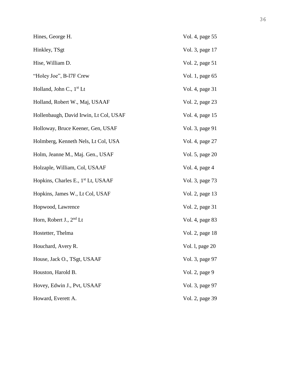| Hines, George H.                               | Vol. 4, page 55 |
|------------------------------------------------|-----------------|
| Hinkley, TSgt                                  | Vol. 3, page 17 |
| Hise, William D.                               | Vol. 2, page 51 |
| "Holey Joe", B-17F Crew                        | Vol. 1, page 65 |
| Holland, John C., $1st$ Lt                     | Vol. 4, page 31 |
| Holland, Robert W., Maj, USAAF                 | Vol. 2, page 23 |
| Hollenbaugh, David Irwin, Lt Col, USAF         | Vol. 4, page 15 |
| Holloway, Bruce Keener, Gen, USAF              | Vol. 3, page 91 |
| Holmberg, Kenneth Nels, Lt Col, USA            | Vol. 4, page 27 |
| Holm, Jeanne M., Maj. Gen., USAF               | Vol. 5, page 20 |
| Holzaple, William, Col, USAAF                  | Vol. 4, page 4  |
| Hopkins, Charles E., 1 <sup>st</sup> Lt, USAAF | Vol. 3, page 73 |
| Hopkins, James W., Lt Col, USAF                | Vol. 2, page 13 |
| Hopwood, Lawrence                              | Vol. 2, page 31 |
| Horn, Robert J., $2nd$ Lt                      | Vol. 4, page 83 |
| Hostetter, Thelma                              | Vol. 2, page 18 |
| Houchard, Avery R.                             | Vol. 1, page 20 |
| House, Jack O., TSgt, USAAF                    | Vol. 3, page 97 |
| Houston, Harold B.                             | Vol. 2, page 9  |
| Hovey, Edwin J., Pvt, USAAF                    | Vol. 3, page 97 |
| Howard, Everett A.                             | Vol. 2, page 39 |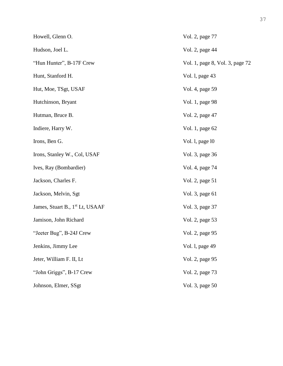| Howell, Glenn O.                            | Vol. 2, page 77                 |
|---------------------------------------------|---------------------------------|
| Hudson, Joel L.                             | Vol. 2, page 44                 |
| "Hun Hunter", B-17F Crew                    | Vol. 1, page 8, Vol. 3, page 72 |
| Hunt, Stanford H.                           | Vol. 1, page 43                 |
| Hut, Moe, TSgt, USAF                        | Vol. 4, page 59                 |
| Hutchinson, Bryant                          | Vol. 1, page 98                 |
| Hutman, Bruce B.                            | Vol. 2, page 47                 |
| Indiere, Harry W.                           | Vol. 1, page 62                 |
| Irons, Ben G.                               | Vol. 1, page 10                 |
| Irons, Stanley W., Col, USAF                | Vol. 3, page 36                 |
| Ives, Ray (Bombardier)                      | Vol. 4, page 74                 |
| Jackson, Charles F.                         | Vol. 2, page 51                 |
| Jackson, Melvin, Sgt                        | Vol. 3, page 61                 |
| James, Stuart B., 1 <sup>st</sup> Lt, USAAF | Vol. 3, page 37                 |
| Jamison, John Richard                       | Vol. 2, page 53                 |
| "Jeeter Bug", B-24J Crew                    | Vol. 2, page 95                 |
| Jenkins, Jimmy Lee                          | Vol. l, page 49                 |
| Jeter, William F. II, Lt                    | Vol. 2, page 95                 |
| "John Griggs", B-17 Crew                    | Vol. 2, page 73                 |
| Johnson, Elmer, SSgt                        | Vol. 3, page 50                 |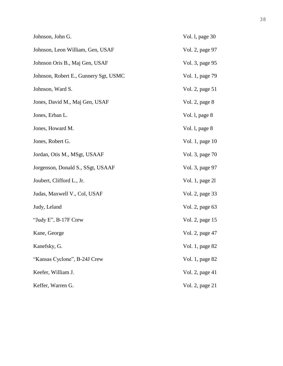| Johnson, John G.                      | Vol. 1, page 30 |
|---------------------------------------|-----------------|
| Johnson, Leon William, Gen, USAF      | Vol. 2, page 97 |
| Johnson Oris B., Maj Gen, USAF        | Vol. 3, page 95 |
| Johnson, Robert E., Gunnery Sgt, USMC | Vol. 1, page 79 |
| Johnson, Ward S.                      | Vol. 2, page 51 |
| Jones, David M., Maj Gen, USAF        | Vol. 2, page 8  |
| Jones, Erban L.                       | Vol. 1, page 8  |
| Jones, Howard M.                      | Vol. 1, page 8  |
| Jones, Robert G.                      | Vol. 1, page 10 |
| Jordan, Otis M., MSgt, USAAF          | Vol. 3, page 70 |
| Jorgenson, Donald S., SSgt, USAAF     | Vol. 3, page 97 |
| Joubert, Clifford L., Jr.             | Vol. 1, page 21 |
| Judas, Maxwell V., Col, USAF          | Vol. 2, page 33 |
| Judy, Leland                          | Vol. 2, page 63 |
| "Judy E", B-17F Crew                  | Vol. 2, page 15 |
| Kane, George                          | Vol. 2, page 47 |
| Kanefsky, G.                          | Vol. 1, page 82 |
| "Kansas Cyclone", B-24J Crew          | Vol. 1, page 82 |
| Keefer, William J.                    | Vol. 2, page 41 |
| Keffer, Warren G.                     | Vol. 2, page 21 |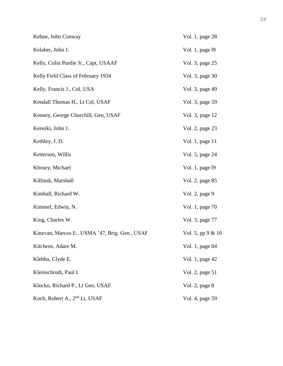| Kehoe, John Conway                             | Vol. 1, page 28     |
|------------------------------------------------|---------------------|
| Kelaher, John J.                               | Vol. 1, page 19     |
| Kelly, Colin Purdie Jr., Capt, USAAF           | Vol. 3, page 25     |
| Kelly Field Class of February 1934             | Vol. 3, page 30     |
| Kelly, Francis J., Col, USA                    | Vol. 3, page 49     |
| Kendall Thomas H., Lt Col, USAF                | Vol. 3, page 59     |
| Kenney, George Churchill, Gen, USAF            | Vol. 3, page 12     |
| Kerezki, John J.                               | Vol. 2, page 23     |
| Kethley, J. D.                                 | Vol. 1, page 11     |
| Ketterson, Willis                              | Vol. 5, page 24     |
| Khoury, Michael                                | Vol. 1, page 19     |
| Killinsk, Marshall                             | Vol. 2, page 85     |
| Kimball, Richard W.                            | Vol. 2, page 9      |
| Kimmel, Edwin, N.                              | Vol. 1, page 70     |
| King, Charles W.                               | Vol. 3, page 77     |
| Kinevan, Marcos E., USMA '47, Brig. Gen., USAF | Vol. 5, pp $9 & 10$ |
| Kitchens, Adare M.                             | Vol. 1, page 84     |
| Klebba, Clyde E.                               | Vol. 1, page 42     |
| Kleinschrodt, Paul I.                          | Vol. 2, page 51     |
| Klocko, Richard P., Lt Gen, USAF               | Vol. 2, page 8      |
| Koch, Robert A., 2 <sup>nd</sup> Lt, USAF      | Vol. 4, page 59     |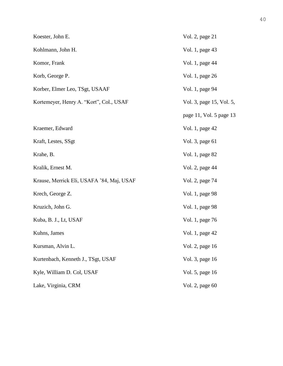| Koester, John E.                          | Vol. 2, page 21          |
|-------------------------------------------|--------------------------|
| Kohlmann, John H.                         | Vol. 1, page 43          |
| Komor, Frank                              | Vol. 1, page 44          |
| Korb, George P.                           | Vol. 1, page 26          |
| Korber, Elmer Leo, TSgt, USAAF            | Vol. 1, page 94          |
| Kortemeyer, Henry A. "Kort", Col., USAF   | Vol. 3, page 15, Vol. 5, |
|                                           | page 11, Vol. 5 page 13  |
| Kraemer, Edward                           | Vol. 1, page 42          |
| Kraft, Lestes, SSgt                       | Vol. 3, page 61          |
| Krahe, B.                                 | Vol. 1, page 82          |
| Kralik, Ernest M.                         | Vol. 2, page 44          |
| Krause, Merrick Eli, USAFA '84, Maj, USAF | Vol. 2, page 74          |
| Krech, George Z.                          | Vol. 1, page 98          |
| Kruzich, John G.                          | Vol. 1, page 98          |
| Kuba, B. J., Lt, USAF                     | Vol. 1, page 76          |
| Kuhns, James                              | Vol. 1, page 42          |
| Kursman, Alvin L.                         | Vol. 2, page 16          |
| Kurtenbach, Kenneth J., TSgt, USAF        | Vol. 3, page 16          |
| Kyle, William D. Col, USAF                | Vol. 5, page 16          |
| Lake, Virginia, CRM                       | Vol. 2, page 60          |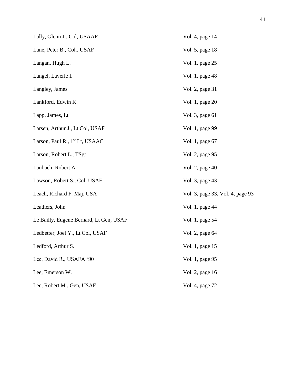| Lally, Glenn J., Col, USAAF                | Vol. 4, page 14                  |
|--------------------------------------------|----------------------------------|
| Lane, Peter B., Col., USAF                 | Vol. 5, page 18                  |
| Langan, Hugh L.                            | Vol. 1, page 25                  |
| Langel, Laverle I.                         | Vol. 1, page 48                  |
| Langley, James                             | Vol. 2, page 31                  |
| Lankford, Edwin K.                         | Vol. 1, page 20                  |
| Lapp, James, Lt                            | Vol. 3, page 61                  |
| Larsen, Arthur J., Lt Col, USAF            | Vol. 1, page 99                  |
| Larson, Paul R., 1 <sup>st</sup> Lt, USAAC | Vol. 1, page 67                  |
| Larson, Robert L., TSgt                    | Vol. 2, page 95                  |
| Laubach, Robert A.                         | Vol. 2, page 40                  |
| Lawson, Robert S., Col, USAF               | Vol. 3, page 43                  |
| Leach, Richard F. Maj, USA                 | Vol. 3, page 33, Vol. 4, page 93 |
| Leathers, John                             | Vol. 1, page 44                  |
| Le Bailly, Eugene Bernard, Lt Gen, USAF    | Vol. 1, page 54                  |
| Ledbetter, Joel Y., Lt Col, USAF           | Vol. 2, page 64                  |
| Ledford, Arthur S.                         | Vol. 1, page 15                  |
| Lee, David R., USAFA '90                   | Vol. 1, page 95                  |
| Lee, Emerson W.                            | Vol. 2, page 16                  |
| Lee, Robert M., Gen, USAF                  | Vol. 4, page 72                  |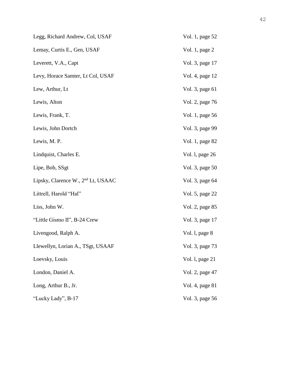| Legg, Richard Andrew, Col, USAF                | Vol. 1, page 52 |
|------------------------------------------------|-----------------|
| Lemay, Curtis E., Gen, USAF                    | Vol. 1, page 2  |
| Leverett, V.A., Capt                           | Vol. 3, page 17 |
| Levy, Horace Samter, Lt Col, USAF              | Vol. 4, page 12 |
| Lew, Arthur, Lt                                | Vol. 3, page 61 |
| Lewis, Alton                                   | Vol. 2, page 76 |
| Lewis, Frank, T.                               | Vol. 1, page 56 |
| Lewis, John Dortch                             | Vol. 3, page 99 |
| Lewis, M. P.                                   | Vol. 1, page 82 |
| Lindquist, Charles E.                          | Vol. 1, page 26 |
| Lipe, Bob, SSgt                                | Vol. 3, page 50 |
| Lipsky, Clarence W., 2 <sup>nd</sup> Lt, USAAC | Vol. 3, page 64 |
| Littrell, Harold "Hal"                         | Vol. 5, page 22 |
| Liss, John W.                                  | Vol. 2, page 85 |
| "Little Gismo II", B-24 Crew                   | Vol. 3, page 17 |
| Livengood, Ralph A.                            | Vol. 1, page 8  |
| Llewellyn, Lorian A., TSgt, USAAF              | Vol. 3, page 73 |
| Loevsky, Louis                                 | Vol. l, page 21 |
| London, Daniel A.                              | Vol. 2, page 47 |
| Long, Arthur B., Jr.                           | Vol. 4, page 81 |
| "Lucky Lady", B-17                             | Vol. 3, page 56 |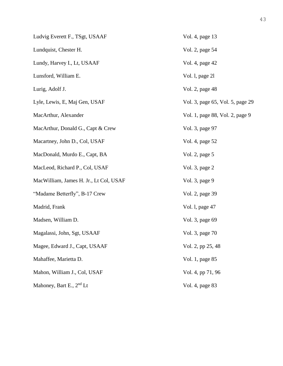| Ludvig Everett F., TSgt, USAAF         | Vol. 4, page 13                  |
|----------------------------------------|----------------------------------|
| Lundquist, Chester H.                  | Vol. 2, page 54                  |
| Lundy, Harvey I., Lt, USAAF            | Vol. 4, page 42                  |
| Lunsford, William E.                   | Vol. 1, page 21                  |
| Lurig, Adolf J.                        | Vol. 2, page 48                  |
| Lyle, Lewis, E, Maj Gen, USAF          | Vol. 3, page 65, Vol. 5, page 29 |
| MacArthur, Alexander                   | Vol. 1, page 88, Vol. 2, page 9  |
| MacArthur, Donald G., Capt & Crew      | Vol. 3, page 97                  |
| Macartney, John D., Col, USAF          | Vol. 4, page 52                  |
| MacDonald, Murdo E., Capt, BA          | Vol. 2, page 5                   |
| MacLeod, Richard P., Col, USAF         | Vol. 3, page 2                   |
| MacWilliam, James H. Jr., Lt Col, USAF | Vol. 3, page 9                   |
| "Madame Betterfly", B-17 Crew          | Vol. 2, page 39                  |
| Madrid, Frank                          | Vol. 1, page 47                  |
| Madsen, William D.                     | Vol. 3, page 69                  |
| Magalassi, John, Sgt, USAAF            | Vol. 3, page 70                  |
| Magee, Edward J., Capt, USAAF          | Vol. 2, pp 25, 48                |
| Mahaffee, Marietta D.                  | Vol. 1, page 85                  |
| Mahon, William J., Col, USAF           | Vol. 4, pp 71, 96                |
| Mahoney, Bart E., $2nd$ Lt             | Vol. 4, page 83                  |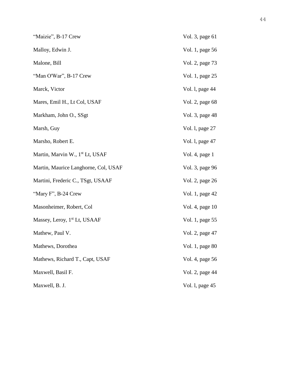| "Maizie", B-17 Crew                         | Vol. 3, page 61 |
|---------------------------------------------|-----------------|
| Malloy, Edwin J.                            | Vol. 1, page 56 |
| Malone, Bill                                | Vol. 2, page 73 |
| "Man O'War", B-17 Crew                      | Vol. 1, page 25 |
| Marck, Victor                               | Vol. 1, page 44 |
| Mares, Emil H., Lt Col, USAF                | Vol. 2, page 68 |
| Markham, John O., SSgt                      | Vol. 3, page 48 |
| Marsh, Guy                                  | Vol. 1, page 27 |
| Marsho, Robert E.                           | Vol. 1, page 47 |
| Martin, Marvin W., 1 <sup>st</sup> Lt, USAF | Vol. 4, page 1  |
| Martin, Maurice Langhorne, Col, USAF        | Vol. 3, page 96 |
| Martini, Frederic C., TSgt, USAAF           | Vol. 2, page 26 |
| "Mary F", B-24 Crew                         | Vol. 1, page 42 |
| Masonheimer, Robert, Col                    | Vol. 4, page 10 |
| Massey, Leroy, 1 <sup>st</sup> Lt, USAAF    | Vol. 1, page 55 |
| Mathew, Paul V.                             | Vol. 2, page 47 |
| Mathews, Dorothea                           | Vol. 1, page 80 |
| Mathews, Richard T., Capt, USAF             | Vol. 4, page 56 |
| Maxwell, Basil F.                           | Vol. 2, page 44 |
| Maxwell, B. J.                              | Vol. 1, page 45 |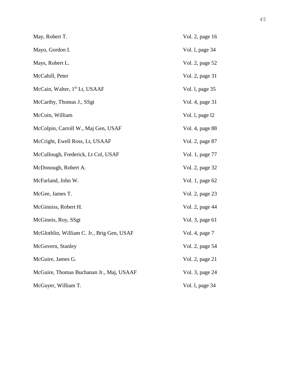| May, Robert T.                             | Vol. 2, page 16 |
|--------------------------------------------|-----------------|
| Mayo, Gordon I.                            | Vol. 1, page 34 |
| Mays, Robert L.                            | Vol. 2, page 52 |
| McCahill, Peter                            | Vol. 2, page 31 |
| McCain, Walter, 1 <sup>st</sup> Lt, USAAF  | Vol. 1, page 35 |
| McCarthy, Thomas J., SSgt                  | Vol. 4, page 31 |
| McCoin, William                            | Vol. 1, page 12 |
| McColpin, Carroll W., Maj Gen, USAF        | Vol. 4, page 88 |
| McCright, Ewell Ross, Lt, USAAF            | Vol. 2, page 87 |
| McCullough, Frederick, Lt Col, USAF        | Vol. 1, page 77 |
| McDonough, Robert A.                       | Vol. 2, page 32 |
| McFarland, John W.                         | Vol. 1, page 62 |
| McGee, James T.                            | Vol. 2, page 23 |
| McGinniss, Robert H.                       | Vol. 2, page 44 |
| McGinnis, Roy, SSgt                        | Vol. 3, page 61 |
| McGlothlin, William C. Jr., Brig Gen, USAF | Vol. 4, page 7  |
| McGovern, Stanley                          | Vol. 2, page 54 |
| McGuire, James G.                          | Vol. 2, page 21 |
| McGuire, Thomas Buchanan Jr., Maj, USAAF   | Vol. 3, page 24 |
| McGuyer, William T.                        | Vol. 1, page 34 |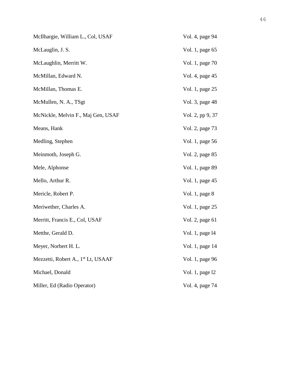| McIlhargie, William L., Col, USAF              | Vol. 4, page 94  |
|------------------------------------------------|------------------|
| McLauglin, J. S.                               | Vol. 1, page 65  |
| McLaughlin, Merritt W.                         | Vol. 1, page 70  |
| McMillan, Edward N.                            | Vol. 4, page 45  |
| McMillan, Thomas E.                            | Vol. 1, page 25  |
| McMullen, N. A., TSgt                          | Vol. 3, page 48  |
| McNickle, Melvin F., Maj Gen, USAF             | Vol. 2, pp 9, 37 |
| Means, Hank                                    | Vol. 2, page 73  |
| Medling, Stephen                               | Vol. 1, page 56  |
| Meinmoth, Joseph G.                            | Vol. 2, page 85  |
| Mele, Alphonse                                 | Vol. 1, page 89  |
| Mello, Arthur R.                               | Vol. 1, page 45  |
| Mericle, Robert P.                             | Vol. 1, page 8   |
| Meriwether, Charles A.                         | Vol. 1, page 25  |
| Merritt, Francis E., Col, USAF                 | Vol. 2, page 61  |
| Metthe, Gerald D.                              | Vol. 1, page 14  |
| Meyer, Norbert H. L.                           | Vol. 1, page 14  |
| Mezzetti, Robert A., 1 <sup>st</sup> Lt, USAAF | Vol. 1, page 96  |
| Michael, Donald                                | Vol. 1, page 12  |
| Miller, Ed (Radio Operator)                    | Vol. 4, page 74  |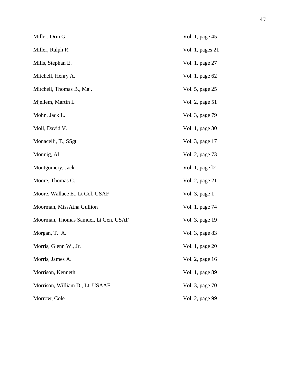| Miller, Orin G.                      | Vol. 1, page 45    |
|--------------------------------------|--------------------|
| Miller, Ralph R.                     | Vol. 1, pages $21$ |
| Mills, Stephan E.                    | Vol. 1, page 27    |
| Mitchell, Henry A.                   | Vol. 1, page 62    |
| Mitchell, Thomas B., Maj.            | Vol. 5, page 25    |
| Mjellem, Martin L                    | Vol. 2, page 51    |
| Mohn, Jack L.                        | Vol. 3, page 79    |
| Moll, David V.                       | Vol. 1, page 30    |
| Monacelli, T., SSgt                  | Vol. 3, page 17    |
| Monnig, Al                           | Vol. 2, page 73    |
| Montgomery, Jack                     | Vol. 1, page 12    |
| Moore, Thomas C.                     | Vol. 2, page 21    |
| Moore, Wallace E., Lt Col, USAF      | Vol. 3, page 1     |
| Moorman, MissAtha Gullion            | Vol. 1, page 74    |
| Moorman, Thomas Samuel, Lt Gen, USAF | Vol. 3, page 19    |
| Morgan, T. A.                        | Vol. 3, page 83    |
| Morris, Glenn W., Jr.                | Vol. 1, page 20    |
| Morris, James A.                     | Vol. 2, page 16    |
| Morrison, Kenneth                    | Vol. 1, page 89    |
| Morrison, William D., Lt, USAAF      | Vol. 3, page 70    |
| Morrow, Cole                         | Vol. 2, page 99    |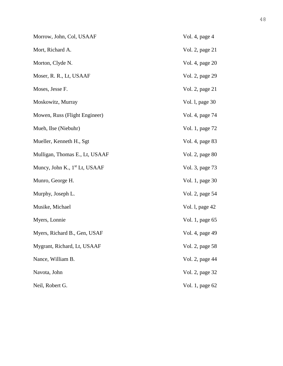| Morrow, John, Col, USAAF                  | Vol. 4, page 4  |
|-------------------------------------------|-----------------|
| Mort, Richard A.                          | Vol. 2, page 21 |
| Morton, Clyde N.                          | Vol. 4, page 20 |
| Moser, R. R., Lt, USAAF                   | Vol. 2, page 29 |
| Moses, Jesse F.                           | Vol. 2, page 21 |
| Moskowitz, Murray                         | Vol. 1, page 30 |
| Mowen, Russ (Flight Engineer)             | Vol. 4, page 74 |
| Mueh, Ilse (Niebuhr)                      | Vol. 1, page 72 |
| Mueller, Kenneth H., Sgt                  | Vol. 4, page 83 |
| Mulligan, Thomas E., Lt, USAAF            | Vol. 2, page 80 |
| Muncy, John K., 1 <sup>st</sup> Lt, USAAF | Vol. 3, page 73 |
| Munro, George H.                          | Vol. 1, page 30 |
| Murphy, Joseph L.                         | Vol. 2, page 54 |
| Musike, Michael                           | Vol. 1, page 42 |
| Myers, Lonnie                             | Vol. 1, page 65 |
| Myers, Richard B., Gen, USAF              | Vol. 4, page 49 |
| Mygrant, Richard, Lt, USAAF               | Vol. 2, page 58 |
| Nance, William B.                         | Vol. 2, page 44 |
| Navota, John                              | Vol. 2, page 32 |
| Neil, Robert G.                           | Vol. 1, page 62 |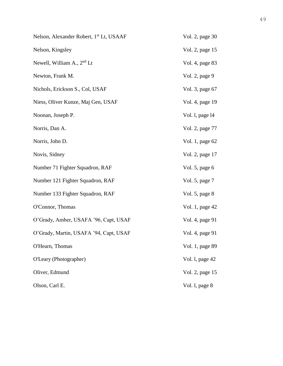| Nelson, Alexander Robert, 1 <sup>st</sup> Lt, USAAF | Vol. 2, page 30 |
|-----------------------------------------------------|-----------------|
| Nelson, Kingsley                                    | Vol. 2, page 15 |
| Newell, William A., 2 <sup>nd</sup> Lt              | Vol. 4, page 83 |
| Newton, Frank M.                                    | Vol. 2, page 9  |
| Nichols, Erickson S., Col, USAF                     | Vol. 3, page 67 |
| Niess, Oliver Kunze, Maj Gen, USAF                  | Vol. 4, page 19 |
| Noonan, Joseph P.                                   | Vol. 1, page 14 |
| Norris, Dan A.                                      | Vol. 2, page 77 |
| Norris, John D.                                     | Vol. 1, page 62 |
| Novis, Sidney                                       | Vol. 2, page 17 |
| Number 71 Fighter Squadron, RAF                     | Vol. 5, page 6  |
| Number 121 Fighter Squadron, RAF                    | Vol. 5, page 7  |
| Number 133 Fighter Squadron, RAF                    | Vol. 5, page 8  |
| O'Connor, Thomas                                    | Vol. 1, page 42 |
| O'Grady, Amber, USAFA '96, Capt, USAF               | Vol. 4, page 91 |
| O'Grady, Martin, USAFA '94, Capt, USAF              | Vol. 4, page 91 |
| O'Hearn, Thomas                                     | Vol. 1, page 89 |
| O'Leary (Photographer)                              | Vol. 1, page 42 |
| Oliver, Edmund                                      | Vol. 2, page 15 |
| Olson, Carl E.                                      | Vol. 1, page 8  |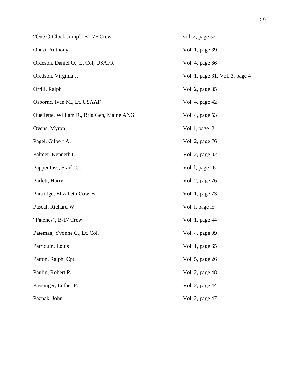| "One O'Clock Jump", B-17F Crew             | vol. 2, page 52                 |
|--------------------------------------------|---------------------------------|
| Onesi, Anthony                             | Vol. 1, page 89                 |
| Ordeson, Daniel O., Lt Col, USAFR          | Vol. 4, page 66                 |
| Oredson, Virginia J.                       | Vol. 1, page 81, Vol. 3, page 4 |
| Orrill, Ralph                              | Vol. 2, page 85                 |
| Osborne, Ivan M., Lt, USAAF                | Vol. 4, page 42                 |
| Ouellette, William R., Brig Gen, Maine ANG | Vol. 4, page 53                 |
| Ovens, Myron                               | Vol. 1, page 12                 |
| Pagel, Gilbert A.                          | Vol. 2, page 76                 |
| Palmer, Kenneth L.                         | Vol. 2, page 32                 |
| Pappenfuss, Frank O.                       | Vol. 1, page 26                 |
| Parlett, Harry                             | Vol. 2, page 76                 |
| Partridge, Elizabeth Cowles                | Vol. 1, page 73                 |
| Pascal, Richard W.                         | Vol. 1, page 15                 |
| "Patches", B-17 Crew                       | Vol. 1, page 44                 |
| Pateman, Yvonne C., Lt. Col.               | Vol. 4, page 99                 |
| Patriquin, Louis                           | Vol. 1, page 65                 |
| Patton, Ralph, Cpt.                        | Vol. 5, page 26                 |
| Paulin, Robert P.                          | Vol. 2, page 48                 |
| Paysinger, Luther F.                       | Vol. 2, page 44                 |
| Paznak, John                               | Vol. 2, page 47                 |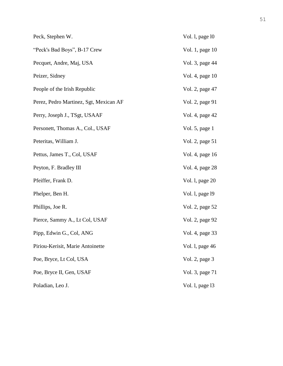| Peck, Stephen W.                       | Vol. 1, page 10 |
|----------------------------------------|-----------------|
| "Peck's Bad Boys", B-17 Crew           | Vol. 1, page 10 |
| Pecquet, Andre, Maj, USA               | Vol. 3, page 44 |
| Peizer, Sidney                         | Vol. 4, page 10 |
| People of the Irish Republic           | Vol. 2, page 47 |
| Perez, Pedro Martinez, Sgt, Mexican AF | Vol. 2, page 91 |
| Perry, Joseph J., TSgt, USAAF          | Vol. 4, page 42 |
| Personett, Thomas A., Col., USAF       | Vol. 5, page 1  |
| Peteritas, William J.                  | Vol. 2, page 51 |
| Pettus, James T., Col, USAF            | Vol. 4, page 16 |
| Peyton, F. Bradley III                 | Vol. 4, page 28 |
| Pfeiffer, Frank D.                     | Vol. 1, page 20 |
| Phelper, Ben H.                        | Vol. 1, page 19 |
| Phillips, Joe R.                       | Vol. 2, page 52 |
| Pierce, Sammy A., Lt Col, USAF         | Vol. 2, page 92 |
| Pipp, Edwin G., Col, ANG               | Vol. 4, page 33 |
| Piriou-Kerisit, Marie Antoinette       | Vol. l, page 46 |
| Poe, Bryce, Lt Col, USA                | Vol. 2, page 3  |
| Poe, Bryce II, Gen, USAF               | Vol. 3, page 71 |
| Poladian, Leo J.                       | Vol. 1, page 13 |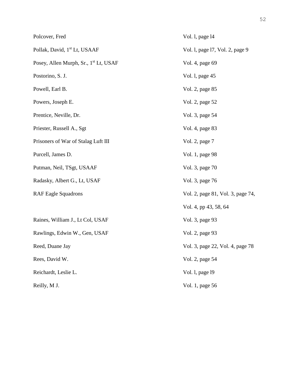| Polcover, Fred                                    | Vol. 1, page 14                   |
|---------------------------------------------------|-----------------------------------|
| Pollak, David, 1 <sup>st</sup> Lt, USAAF          | Vol. 1, page 17, Vol. 2, page 9   |
| Posey, Allen Murph, Sr., 1 <sup>st</sup> Lt, USAF | Vol. 4, page 69                   |
| Postorino, S. J.                                  | Vol. l, page 45                   |
| Powell, Earl B.                                   | Vol. 2, page 85                   |
| Powers, Joseph E.                                 | Vol. 2, page 52                   |
| Prentice, Neville, Dr.                            | Vol. 3, page 54                   |
| Priester, Russell A., Sgt                         | Vol. 4, page 83                   |
| Prisoners of War of Stalag Luft III               | Vol. 2, page 7                    |
| Purcell, James D.                                 | Vol. 1, page 98                   |
| Putman, Neil, TSgt, USAAF                         | Vol. 3, page 70                   |
| Radasky, Albert G., Lt, USAF                      | Vol. 3, page 76                   |
| <b>RAF Eagle Squadrons</b>                        | Vol. 2, page 81, Vol. 3, page 74, |
|                                                   | Vol. 4, pp 43, 58, 64             |
| Raines, William J., Lt Col, USAF                  | Vol. 3, page 93                   |
| Rawlings, Edwin W., Gen, USAF                     | Vol. 2, page 93                   |
| Reed, Duane Jay                                   | Vol. 3, page 22, Vol. 4, page 78  |
| Rees, David W.                                    | Vol. 2, page 54                   |
| Reichardt, Leslie L.                              | Vol. 1, page 19                   |
| Reilly, M J.                                      | Vol. 1, page 56                   |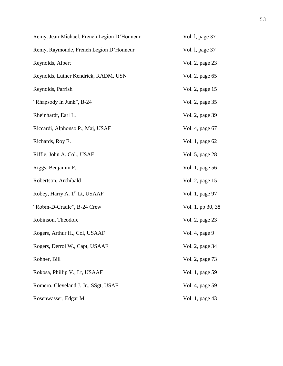| Remy, Jean-Michael, French Legion D'Honneur | Vol. 1, page 37   |
|---------------------------------------------|-------------------|
| Remy, Raymonde, French Legion D'Honneur     | Vol. 1, page 37   |
| Reynolds, Albert                            | Vol. 2, page 23   |
| Reynolds, Luther Kendrick, RADM, USN        | Vol. 2, page 65   |
| Reynolds, Parrish                           | Vol. 2, page 15   |
| "Rhapsody In Junk", B-24                    | Vol. 2, page 35   |
| Rheinhardt, Earl L.                         | Vol. 2, page 39   |
| Riccardi, Alphonso P., Maj, USAF            | Vol. 4, page 67   |
| Richards, Roy E.                            | Vol. 1, page 62   |
| Riffle, John A. Col., USAF                  | Vol. 5, page 28   |
| Riggs, Benjamin F.                          | Vol. 1, page 56   |
| Robertson, Archibald                        | Vol. 2, page 15   |
| Robey, Harry A. 1 <sup>st</sup> Lt, USAAF   | Vol. 1, page 97   |
| "Robin-D-Cradle", B-24 Crew                 | Vol. 1, pp 30, 38 |
| Robinson, Theodore                          | Vol. 2, page 23   |
| Rogers, Arthur H., Col, USAAF               | Vol. 4, page 9    |
| Rogers, Derrol W., Capt, USAAF              | Vol. 2, page 34   |
| Rohner, Bill                                | Vol. 2, page 73   |
| Rokosa, Phillip V., Lt, USAAF               | Vol. 1, page 59   |
| Romero, Cleveland J. Jr., SSgt, USAF        | Vol. 4, page 59   |
| Rosenwasser, Edgar M.                       | Vol. 1, page 43   |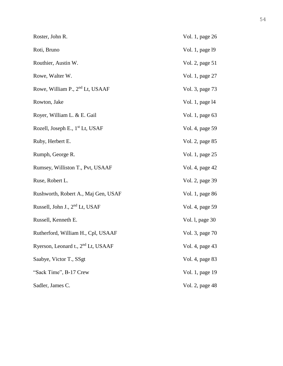| Roster, John R.                                | Vol. 1, page 26 |
|------------------------------------------------|-----------------|
| Roti, Bruno                                    | Vol. 1, page 19 |
| Routhier, Austin W.                            | Vol. 2, page 51 |
| Rowe, Walter W.                                | Vol. 1, page 27 |
| Rowe, William P., 2 <sup>nd</sup> Lt, USAAF    | Vol. 3, page 73 |
| Rowton, Jake                                   | Vol. 1, page 14 |
| Royer, William L. & E. Gail                    | Vol. 1, page 63 |
| Rozell, Joseph E., 1 <sup>st</sup> Lt, USAF    | Vol. 4, page 59 |
| Ruby, Herbert E.                               | Vol. 2, page 85 |
| Rumph, George R.                               | Vol. 1, page 25 |
| Rumsey, Williston T., Pvt, USAAF               | Vol. 4, page 42 |
| Ruse, Robert L.                                | Vol. 2, page 39 |
| Rushworth, Robert A., Maj Gen, USAF            | Vol. 1, page 86 |
| Russell, John J., 2 <sup>nd</sup> Lt, USAF     | Vol. 4, page 59 |
| Russell, Kenneth E.                            | Vol. 1, page 30 |
| Rutherford, William H., Cpl, USAAF             | Vol. 3, page 70 |
| Ryerson, Leonard t., 2 <sup>nd</sup> Lt, USAAF | Vol. 4, page 43 |
| Saabye, Victor T., SSgt                        | Vol. 4, page 83 |
| "Sack Time", B-17 Crew                         | Vol. 1, page 19 |
| Sadler, James C.                               | Vol. 2, page 48 |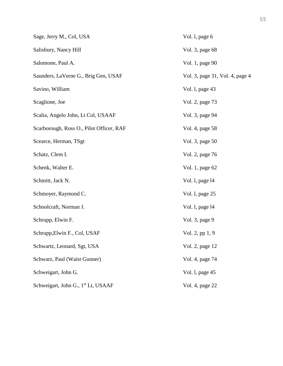| Sage, Jerry M., Col, USA                       | Vol. l, page 6                  |
|------------------------------------------------|---------------------------------|
| Salisbury, Nancy Hill                          | Vol. 3, page 68                 |
| Salomone, Paul A.                              | Vol. 1, page 90                 |
| Saunders, LaVerne G., Brig Gen, USAF           | Vol. 3, page 31, Vol. 4, page 4 |
| Savino, William                                | Vol. 1, page 43                 |
| Scaglione, Joe                                 | Vol. 2, page 73                 |
| Scalia, Angelo John, Lt Col, USAAF             | Vol. 3, page 94                 |
| Scarborough, Ross O., Pilot Officer, RAF       | Vol. 4, page 58                 |
| Scearce, Herman, TSgt                          | Vol. 3, page 50                 |
| Schatz, Clem I.                                | Vol. 2, page 76                 |
| Schenk, Walter E.                              | Vol. 1, page 62                 |
| Schmitt, Jack N.                               | Vol. 1, page 14                 |
| Schmoyer, Raymond C.                           | Vol. 1, page 25                 |
| Schoolcraft, Norman J.                         | Vol. 1, page 14                 |
| Schrupp, Elwin F.                              | Vol. 3, page 9                  |
| Schrupp, Elwin F., Col, USAF                   | Vol. 2, pp $1, 9$               |
| Schwartz, Leonard, Sgt, USA                    | Vol. 2, page 12                 |
| Schwarz, Paul (Waist Gunner)                   | Vol. 4, page 74                 |
| Schweigart, John G.                            | Vol. 1, page 45                 |
| Schweigart, John G., 1 <sup>st</sup> Lt, USAAF | Vol. 4, page 22                 |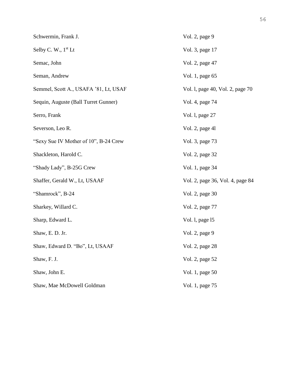| Schwermin, Frank J.                   | Vol. 2, page 9                   |
|---------------------------------------|----------------------------------|
| Selby C. W., $1st$ Lt                 | Vol. 3, page 17                  |
| Semac, John                           | Vol. 2, page 47                  |
| Seman, Andrew                         | Vol. 1, page 65                  |
| Semmel, Scott A., USAFA '81, Lt, USAF | Vol. 1, page 40, Vol. 2, page 70 |
| Sequin, Auguste (Ball Turret Gunner)  | Vol. 4, page 74                  |
| Serro, Frank                          | Vol. 1, page 27                  |
| Severson, Leo R.                      | Vol. 2, page 41                  |
| "Sexy Sue IV Mother of 10", B-24 Crew | Vol. 3, page 73                  |
| Shackleton, Harold C.                 | Vol. 2, page 32                  |
| "Shady Lady", B-25G Crew              | Vol. 1, page 34                  |
| Shaffer, Gerald W., Lt, USAAF         | Vol. 2, page 36, Vol. 4, page 84 |
| "Shamrock", B-24                      | Vol. 2, page 30                  |
| Sharkey, Willard C.                   | Vol. 2, page 77                  |
| Sharp, Edward L.                      | Vol. 1, page 15                  |
| Shaw, E. D. Jr.                       | Vol. 2, page 9                   |
| Shaw, Edward D. "Bo", Lt, USAAF       | Vol. 2, page 28                  |
| Shaw, F. J.                           | Vol. 2, page 52                  |
| Shaw, John E.                         | Vol. 1, page 50                  |
| Shaw, Mae McDowell Goldman            | Vol. 1, page 75                  |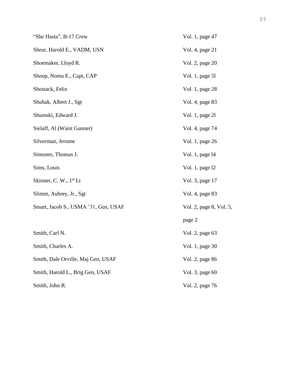| "She Hasta", B-17 Crew               | Vol. 1, page 47         |
|--------------------------------------|-------------------------|
| Shear, Harold E., VADM, USN          | Vol. 4, page 21         |
| Shoemaker, Lloyd R.                  | Vol. 2, page 20         |
| Shoop, Noma E., Capt, CAP            | Vol. 1, page 51         |
| Shostack, Felix                      | Vol. 1, page 28         |
| Shubak, Albert J., Sgt               | Vol. 4, page 83         |
| Shumski, Edward J.                   | Vol. 1, page 21         |
| Sielaff, Al (Waist Gunner)           | Vol. 4, page 74         |
| Silverman, Jerome                    | Vol. 1, page 26         |
| Simones, Thomas J.                   | Vol. 1, page 14         |
| Sims, Louis                          | Vol. 1, page 12         |
| Skinner, C. W., 1 <sup>st</sup> Lt   | Vol. 3, page 17         |
| Slimm, Aubrey, Jr., Sgt              | Vol. 4, page 83         |
| Smart, Jacob S., USMA '31, Gen, USAF | Vol. 2, page 8, Vol. 5, |
|                                      | page 2                  |
| Smith, Carl N.                       | Vol. 2, page 63         |
| Smith, Charles A.                    | Vol. 1, page 30         |
| Smith, Dale Orville, Maj Gen, USAF   | Vol. 2, page 86         |
| Smith, Harold L., Brig Gen, USAF     | Vol. 3, page 60         |
| Smith, John R.                       | Vol. 2, page 76         |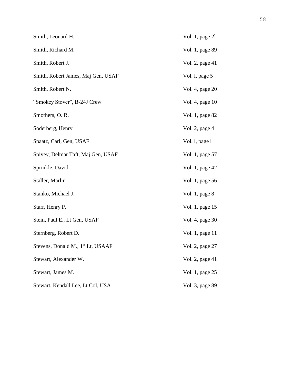| Smith, Leonard H.                             | Vol. 1, page 21 |
|-----------------------------------------------|-----------------|
| Smith, Richard M.                             | Vol. 1, page 89 |
| Smith, Robert J.                              | Vol. 2, page 41 |
| Smith, Robert James, Maj Gen, USAF            | Vol. 1, page 5  |
| Smith, Robert N.                              | Vol. 4, page 20 |
| "Smokey Stover", B-24J Crew                   | Vol. 4, page 10 |
| Smothers, O. R.                               | Vol. 1, page 82 |
| Soderberg, Henry                              | Vol. 2, page 4  |
| Spaatz, Carl, Gen, USAF                       | Vol. 1, page 1  |
| Spivey, Delmar Taft, Maj Gen, USAF            | Vol. 1, page 57 |
| Sprinkle, David                               | Vol. 1, page 42 |
| Staller, Marlin                               | Vol. 1, page 56 |
| Stanko, Michael J.                            | Vol. 1, page 8  |
| Starr, Henry P.                               | Vol. 1, page 15 |
| Stein, Paul E., Lt Gen, USAF                  | Vol. 4, page 30 |
| Sternberg, Robert D.                          | Vol. 1, page 11 |
| Stevens, Donald M., 1 <sup>st</sup> Lt, USAAF | Vol. 2, page 27 |
| Stewart, Alexander W.                         | Vol. 2, page 41 |
| Stewart, James M.                             | Vol. 1, page 25 |
| Stewart, Kendall Lee, Lt Col, USA             | Vol. 3, page 89 |
|                                               |                 |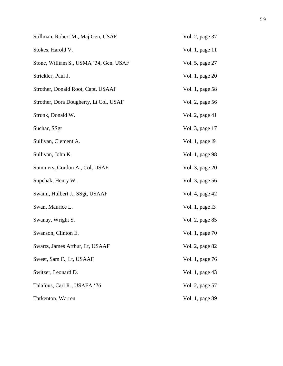| Stillman, Robert M., Maj Gen, USAF     | Vol. 2, page 37 |
|----------------------------------------|-----------------|
| Stokes, Harold V.                      | Vol. 1, page 11 |
| Stone, William S., USMA '34, Gen. USAF | Vol. 5, page 27 |
| Strickler, Paul J.                     | Vol. 1, page 20 |
| Strother, Donald Root, Capt, USAAF     | Vol. 1, page 58 |
| Strother, Dora Dougherty, Lt Col, USAF | Vol. 2, page 56 |
| Strunk, Donald W.                      | Vol. 2, page 41 |
| Suchar, SSgt                           | Vol. 3, page 17 |
| Sullivan, Clement A.                   | Vol. 1, page 19 |
| Sullivan, John K.                      | Vol. 1, page 98 |
| Summers, Gordon A., Col, USAF          | Vol. 3, page 20 |
| Supchak, Henry W.                      | Vol. 3, page 56 |
| Swaim, Hulbert J., SSgt, USAAF         | Vol. 4, page 42 |
| Swan, Maurice L.                       | Vol. 1, page 13 |
| Swanay, Wright S.                      | Vol. 2, page 85 |
| Swanson, Clinton E.                    | Vol. 1, page 70 |
| Swartz, James Arthur, Lt, USAAF        | Vol. 2, page 82 |
| Sweet, Sam F., Lt, USAAF               | Vol. 1, page 76 |
| Switzer, Leonard D.                    | Vol. 1, page 43 |
| Talafous, Carl R., USAFA '76           | Vol. 2, page 57 |
| Tarkenton, Warren                      | Vol. 1, page 89 |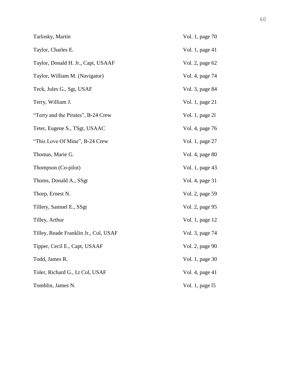| Tarlosky, Martin                      | Vol. 1, page 70 |
|---------------------------------------|-----------------|
| Taylor, Charles E.                    | Vol. 1, page 41 |
| Taylor, Donald H. Jr., Capt, USAAF    | Vol. 2, page 62 |
| Taylor, William M. (Navigator)        | Vol. 4, page 74 |
| Teck, Jules G., Sgt, USAF             | Vol. 3, page 84 |
| Terry, William J.                     | Vol. 1, page 21 |
| "Terry and the Pirates", B-24 Crew    | Vol. 1, page 21 |
| Teter, Eugene S., TSgt, USAAC         | Vol. 4, page 76 |
| "This Love Of Mine", B-24 Crew        | Vol. 1, page 27 |
| Thomas, Marie G.                      | Vol. 4, page 80 |
| Thompson (Co-pilot)                   | Vol. 1, page 43 |
| Thoms, Donald A., SSgt                | Vol. 4, page 31 |
| Thorp, Ernest N.                      | Vol. 2, page 59 |
| Tillery, Samuel E., SSgt              | Vol. 2, page 95 |
| Tilley, Arthur                        | Vol. 1, page 12 |
| Tilley, Reade Franklin Jr., Col, USAF | Vol. 3, page 74 |
| Tipper, Cecil E., Capt, USAAF         | Vol. 2, page 90 |
| Todd, James R.                        | Vol. 1, page 30 |
| Toler, Richard G., Lt Col, USAF       | Vol. 4, page 41 |
| Tomblin, James N.                     | Vol. 1, page 15 |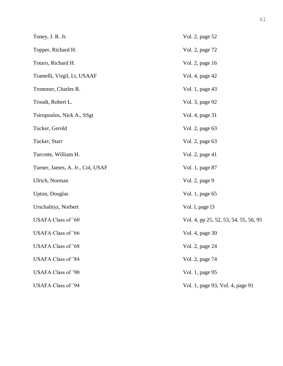| Toney, J. R. Jr.                 | Vol. 2, page 52                       |
|----------------------------------|---------------------------------------|
| Topper, Richard H.               | Vol. 2, page 72                       |
| Totaro, Richard H.               | Vol. 2, page 16                       |
| Tramelli, Virgil, Lt, USAAF      | Vol. 4, page 42                       |
| Trommer, Charles R.              | Vol. 1, page 43                       |
| Troudt, Robert L.                | Vol. 3, page 92                       |
| Tsiropoulos, Nick A., SSgt       | Vol. 4, page 31                       |
| Tucker, Gerold                   | Vol. 2, page 63                       |
| Tucker, Starr                    | Vol. 2, page 63                       |
| Turcotte, William H.             | Vol. 2, page 41                       |
| Turner, James, A. Jr., Col, USAF | Vol. 1, page 87                       |
| Ulrich, Norman                   | Vol. 2, page 9                        |
| <b>Upton</b> , Douglas           | Vol. 1, page 65                       |
| Urschalityz, Norbert             | Vol. 1, page 13                       |
| <b>USAFA Class of '60</b>        | Vol. 4, pp 25, 52, 53, 54, 55, 56, 95 |
| <b>USAFA Class of '66</b>        | Vol. 4, page 30                       |
| <b>USAFA Class of '68</b>        | Vol. 2, page 24                       |
| <b>USAFA Class of '84</b>        | Vol. 2, page 74                       |
| <b>USAFA Class of '90</b>        | Vol. 1, page 95                       |
| <b>USAFA Class of '94</b>        | Vol. 1, page 93, Vol. 4, page 91      |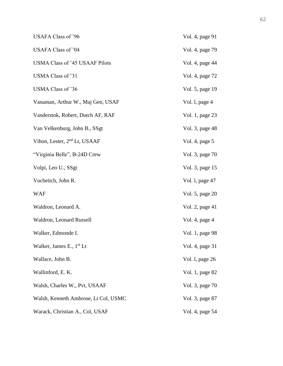| <b>USAFA Class of '96</b>                | Vol. 4, page 91 |
|------------------------------------------|-----------------|
| USAFA Class of '04                       | Vol. 4, page 79 |
| <b>USMA Class of '45 USAAF Pilots</b>    | Vol. 4, page 44 |
| USMA Class of '31                        | Vol. 4, page 72 |
| USMA Class of '36                        | Vol. 5, page 19 |
| Vanaman, Arthur W., Maj Gen, USAF        | Vol. 1, page 4  |
| Vanderstok, Robert, Dutch AF, RAF        | Vol. 1, page 23 |
| Van Velkenburg, John B., SSgt            | Vol. 3, page 48 |
| Vihon, Lester, 2 <sup>nd</sup> Lt, USAAF | Vol. 4, page 5  |
| "Virginia Belle", B-24D Crew             | Vol. 3, page 70 |
| Volpi, Leo U., SSgt                      | Vol. 3, page 15 |
| Vuchetich, John R.                       | Vol. 1, page 47 |
| <b>WAF</b>                               | Vol. 5, page 20 |
| Waldron, Leonard A.                      | Vol. 2, page 41 |
| Waldron, Leonard Russell                 | Vol. 4, page 4  |
| Walker, Edmonde I.                       | Vol. 1, page 98 |
| Walker, James E., $1st$ Lt               | Vol. 4, page 31 |
| Wallace, John B.                         | Vol. 1, page 26 |
| Wallinford, E. K.                        | Vol. 1, page 82 |
| Walsh, Charles W., Pvt, USAAF            | Vol. 3, page 70 |
| Walsh, Kenneth Ambrose, Lt Col, USMC     | Vol. 3, page 87 |
| Warack, Christian A., Col, USAF          | Vol. 4, page 54 |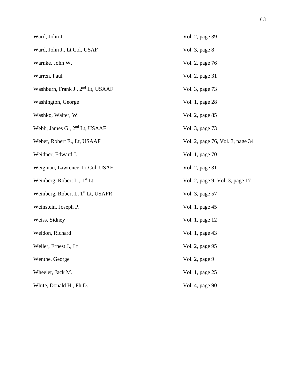| Ward, John J.                                  | Vol. 2, page 39                  |
|------------------------------------------------|----------------------------------|
| Ward, John J., Lt Col, USAF                    | Vol. 3, page 8                   |
| Warnke, John W.                                | Vol. 2, page 76                  |
| Warren, Paul                                   | Vol. 2, page 31                  |
| Washburn, Frank J., 2 <sup>nd</sup> Lt, USAAF  | Vol. 3, page 73                  |
| Washington, George                             | Vol. 1, page 28                  |
| Washko, Walter, W.                             | Vol. 2, page 85                  |
| Webb, James G., 2 <sup>nd</sup> Lt, USAAF      | Vol. 3, page 73                  |
| Weber, Robert E., Lt, USAAF                    | Vol. 2, page 76, Vol. 3, page 34 |
| Weidner, Edward J.                             | Vol. 1, page 70                  |
| Weigman, Lawrence, Lt Col, USAF                | Vol. 2, page 31                  |
| Weinberg, Robert L., $1st$ Lt                  | Vol. 2, page 9, Vol. 3, page 17  |
| Weinberg, Robert I., 1 <sup>st</sup> Lt, USAFR | Vol. 3, page 57                  |
| Weinstein, Joseph P.                           | Vol. 1, page 45                  |
| Weiss, Sidney                                  | Vol. 1, page 12                  |
| Weldon, Richard                                | Vol. 1, page 43                  |
| Weller, Ernest J., Lt                          | Vol. 2, page 95                  |
| Wenthe, George                                 | Vol. 2, page 9                   |
| Wheeler, Jack M.                               | Vol. 1, page 25                  |
| White, Donald H., Ph.D.                        | Vol. 4, page 90                  |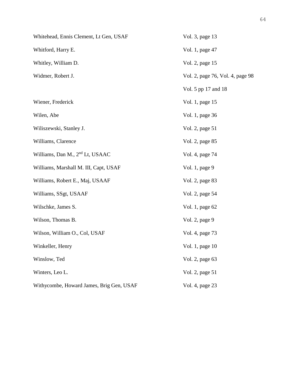| Whitehead, Ennis Clement, Lt Gen, USAF      | Vol. 3, page 13                  |
|---------------------------------------------|----------------------------------|
| Whitford, Harry E.                          | Vol. 1, page 47                  |
| Whitley, William D.                         | Vol. 2, page 15                  |
| Widmer, Robert J.                           | Vol. 2, page 76, Vol. 4, page 98 |
|                                             | Vol. 5 pp 17 and 18              |
| Wiener, Frederick                           | Vol. 1, page 15                  |
| Wilen, Abe                                  | Vol. 1, page 36                  |
| Wiliszewski, Stanley J.                     | Vol. 2, page 51                  |
| Williams, Clarence                          | Vol. 2, page 85                  |
| Williams, Dan M., 2 <sup>nd</sup> Lt, USAAC | Vol. 4, page 74                  |
| Williams, Marshall M. III, Capt, USAF       | Vol. 1, page 9                   |
| Williams, Robert E., Maj, USAAF             | Vol. 2, page 83                  |
| Williams, SSgt, USAAF                       | Vol. 2, page 54                  |
| Wilschke, James S.                          | Vol. 1, page 62                  |
| Wilson, Thomas B.                           | Vol. 2, page 9                   |
| Wilson, William O., Col, USAF               | Vol. 4, page 73                  |
| Winkeller, Henry                            | Vol. 1, page 10                  |
| Winslow, Ted                                | Vol. 2, page 63                  |
| Winters, Leo L.                             | Vol. 2, page 51                  |
| Withycombe, Howard James, Brig Gen, USAF    | Vol. 4, page 23                  |